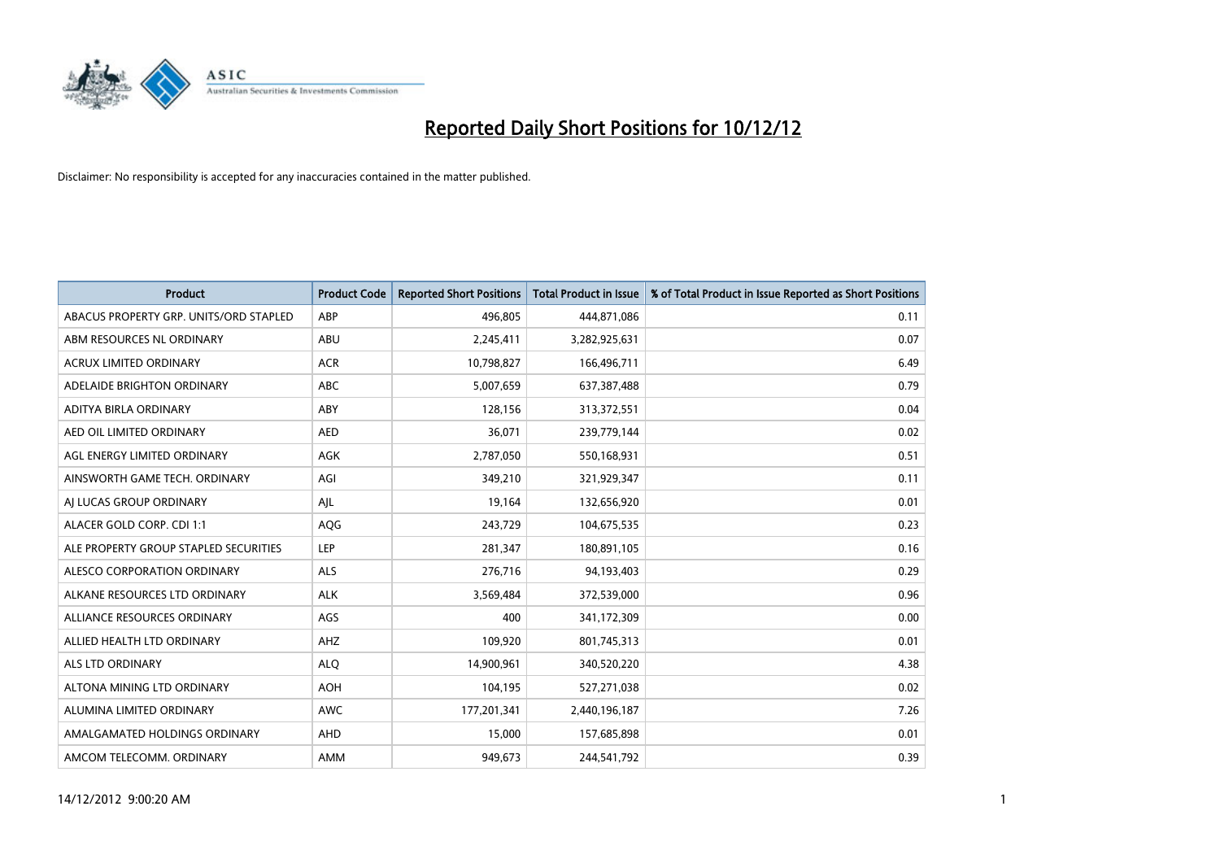

| <b>Product</b>                         | <b>Product Code</b> | <b>Reported Short Positions</b> | <b>Total Product in Issue</b> | % of Total Product in Issue Reported as Short Positions |
|----------------------------------------|---------------------|---------------------------------|-------------------------------|---------------------------------------------------------|
| ABACUS PROPERTY GRP. UNITS/ORD STAPLED | ABP                 | 496.805                         | 444,871,086                   | 0.11                                                    |
| ABM RESOURCES NL ORDINARY              | ABU                 | 2,245,411                       | 3,282,925,631                 | 0.07                                                    |
| <b>ACRUX LIMITED ORDINARY</b>          | <b>ACR</b>          | 10,798,827                      | 166,496,711                   | 6.49                                                    |
| ADELAIDE BRIGHTON ORDINARY             | <b>ABC</b>          | 5,007,659                       | 637,387,488                   | 0.79                                                    |
| <b>ADITYA BIRLA ORDINARY</b>           | ABY                 | 128,156                         | 313,372,551                   | 0.04                                                    |
| AED OIL LIMITED ORDINARY               | <b>AED</b>          | 36,071                          | 239,779,144                   | 0.02                                                    |
| AGL ENERGY LIMITED ORDINARY            | <b>AGK</b>          | 2,787,050                       | 550,168,931                   | 0.51                                                    |
| AINSWORTH GAME TECH. ORDINARY          | AGI                 | 349,210                         | 321,929,347                   | 0.11                                                    |
| AI LUCAS GROUP ORDINARY                | AIL                 | 19,164                          | 132,656,920                   | 0.01                                                    |
| ALACER GOLD CORP. CDI 1:1              | AQG                 | 243,729                         | 104,675,535                   | 0.23                                                    |
| ALE PROPERTY GROUP STAPLED SECURITIES  | LEP                 | 281,347                         | 180,891,105                   | 0.16                                                    |
| ALESCO CORPORATION ORDINARY            | <b>ALS</b>          | 276,716                         | 94,193,403                    | 0.29                                                    |
| ALKANE RESOURCES LTD ORDINARY          | <b>ALK</b>          | 3,569,484                       | 372,539,000                   | 0.96                                                    |
| ALLIANCE RESOURCES ORDINARY            | AGS                 | 400                             | 341,172,309                   | 0.00                                                    |
| ALLIED HEALTH LTD ORDINARY             | AHZ                 | 109,920                         | 801,745,313                   | 0.01                                                    |
| ALS LTD ORDINARY                       | <b>ALO</b>          | 14,900,961                      | 340,520,220                   | 4.38                                                    |
| ALTONA MINING LTD ORDINARY             | <b>AOH</b>          | 104,195                         | 527,271,038                   | 0.02                                                    |
| ALUMINA LIMITED ORDINARY               | <b>AWC</b>          | 177,201,341                     | 2,440,196,187                 | 7.26                                                    |
| AMALGAMATED HOLDINGS ORDINARY          | AHD                 | 15,000                          | 157,685,898                   | 0.01                                                    |
| AMCOM TELECOMM, ORDINARY               | <b>AMM</b>          | 949.673                         | 244,541,792                   | 0.39                                                    |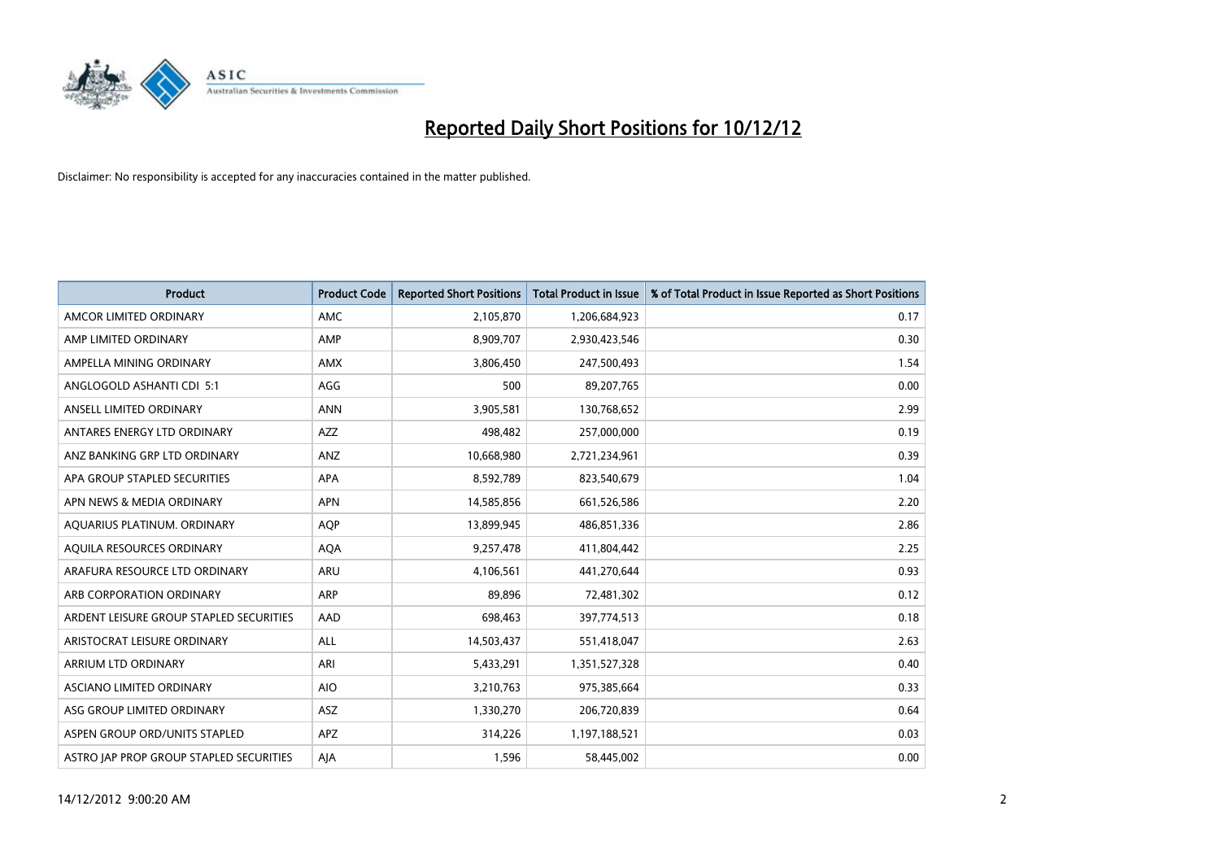

| <b>Product</b>                          | <b>Product Code</b> | <b>Reported Short Positions</b> | <b>Total Product in Issue</b> | % of Total Product in Issue Reported as Short Positions |
|-----------------------------------------|---------------------|---------------------------------|-------------------------------|---------------------------------------------------------|
| AMCOR LIMITED ORDINARY                  | <b>AMC</b>          | 2,105,870                       | 1,206,684,923                 | 0.17                                                    |
| AMP LIMITED ORDINARY                    | AMP                 | 8,909,707                       | 2,930,423,546                 | 0.30                                                    |
| AMPELLA MINING ORDINARY                 | <b>AMX</b>          | 3,806,450                       | 247,500,493                   | 1.54                                                    |
| ANGLOGOLD ASHANTI CDI 5:1               | AGG                 | 500                             | 89,207,765                    | 0.00                                                    |
| ANSELL LIMITED ORDINARY                 | <b>ANN</b>          | 3,905,581                       | 130,768,652                   | 2.99                                                    |
| ANTARES ENERGY LTD ORDINARY             | <b>AZZ</b>          | 498,482                         | 257,000,000                   | 0.19                                                    |
| ANZ BANKING GRP LTD ORDINARY            | <b>ANZ</b>          | 10,668,980                      | 2,721,234,961                 | 0.39                                                    |
| APA GROUP STAPLED SECURITIES            | <b>APA</b>          | 8,592,789                       | 823,540,679                   | 1.04                                                    |
| APN NEWS & MEDIA ORDINARY               | <b>APN</b>          | 14,585,856                      | 661,526,586                   | 2.20                                                    |
| AQUARIUS PLATINUM. ORDINARY             | <b>AOP</b>          | 13,899,945                      | 486,851,336                   | 2.86                                                    |
| AQUILA RESOURCES ORDINARY               | <b>AQA</b>          | 9,257,478                       | 411,804,442                   | 2.25                                                    |
| ARAFURA RESOURCE LTD ORDINARY           | <b>ARU</b>          | 4,106,561                       | 441,270,644                   | 0.93                                                    |
| ARB CORPORATION ORDINARY                | <b>ARP</b>          | 89,896                          | 72,481,302                    | 0.12                                                    |
| ARDENT LEISURE GROUP STAPLED SECURITIES | AAD                 | 698,463                         | 397,774,513                   | 0.18                                                    |
| ARISTOCRAT LEISURE ORDINARY             | <b>ALL</b>          | 14,503,437                      | 551,418,047                   | 2.63                                                    |
| ARRIUM LTD ORDINARY                     | ARI                 | 5,433,291                       | 1,351,527,328                 | 0.40                                                    |
| ASCIANO LIMITED ORDINARY                | <b>AIO</b>          | 3,210,763                       | 975,385,664                   | 0.33                                                    |
| ASG GROUP LIMITED ORDINARY              | <b>ASZ</b>          | 1,330,270                       | 206,720,839                   | 0.64                                                    |
| ASPEN GROUP ORD/UNITS STAPLED           | APZ                 | 314,226                         | 1,197,188,521                 | 0.03                                                    |
| ASTRO JAP PROP GROUP STAPLED SECURITIES | AJA                 | 1,596                           | 58,445,002                    | 0.00                                                    |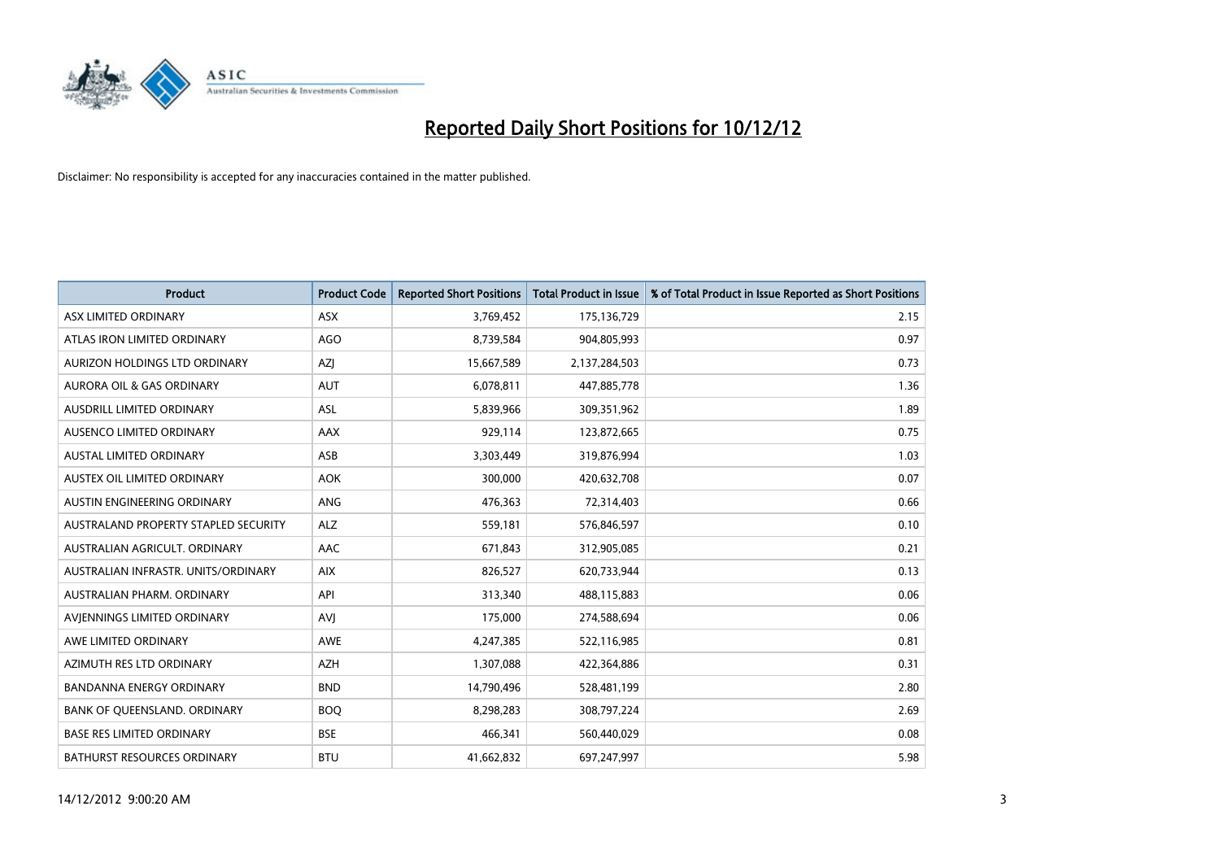

| <b>Product</b>                       | <b>Product Code</b> | <b>Reported Short Positions</b> | Total Product in Issue | % of Total Product in Issue Reported as Short Positions |
|--------------------------------------|---------------------|---------------------------------|------------------------|---------------------------------------------------------|
| ASX LIMITED ORDINARY                 | <b>ASX</b>          | 3,769,452                       | 175,136,729            | 2.15                                                    |
| ATLAS IRON LIMITED ORDINARY          | <b>AGO</b>          | 8,739,584                       | 904,805,993            | 0.97                                                    |
| <b>AURIZON HOLDINGS LTD ORDINARY</b> | AZJ                 | 15,667,589                      | 2,137,284,503          | 0.73                                                    |
| AURORA OIL & GAS ORDINARY            | <b>AUT</b>          | 6,078,811                       | 447,885,778            | 1.36                                                    |
| AUSDRILL LIMITED ORDINARY            | <b>ASL</b>          | 5,839,966                       | 309,351,962            | 1.89                                                    |
| AUSENCO LIMITED ORDINARY             | AAX                 | 929,114                         | 123,872,665            | 0.75                                                    |
| <b>AUSTAL LIMITED ORDINARY</b>       | ASB                 | 3,303,449                       | 319,876,994            | 1.03                                                    |
| AUSTEX OIL LIMITED ORDINARY          | <b>AOK</b>          | 300,000                         | 420,632,708            | 0.07                                                    |
| AUSTIN ENGINEERING ORDINARY          | ANG                 | 476,363                         | 72,314,403             | 0.66                                                    |
| AUSTRALAND PROPERTY STAPLED SECURITY | <b>ALZ</b>          | 559,181                         | 576,846,597            | 0.10                                                    |
| AUSTRALIAN AGRICULT, ORDINARY        | AAC                 | 671,843                         | 312,905,085            | 0.21                                                    |
| AUSTRALIAN INFRASTR, UNITS/ORDINARY  | <b>AIX</b>          | 826,527                         | 620,733,944            | 0.13                                                    |
| AUSTRALIAN PHARM, ORDINARY           | API                 | 313,340                         | 488,115,883            | 0.06                                                    |
| AVIENNINGS LIMITED ORDINARY          | <b>AVI</b>          | 175,000                         | 274,588,694            | 0.06                                                    |
| AWE LIMITED ORDINARY                 | AWE                 | 4,247,385                       | 522,116,985            | 0.81                                                    |
| AZIMUTH RES LTD ORDINARY             | <b>AZH</b>          | 1,307,088                       | 422,364,886            | 0.31                                                    |
| BANDANNA ENERGY ORDINARY             | <b>BND</b>          | 14,790,496                      | 528,481,199            | 2.80                                                    |
| BANK OF QUEENSLAND. ORDINARY         | <b>BOO</b>          | 8,298,283                       | 308,797,224            | 2.69                                                    |
| <b>BASE RES LIMITED ORDINARY</b>     | <b>BSE</b>          | 466,341                         | 560,440,029            | 0.08                                                    |
| <b>BATHURST RESOURCES ORDINARY</b>   | <b>BTU</b>          | 41,662,832                      | 697,247,997            | 5.98                                                    |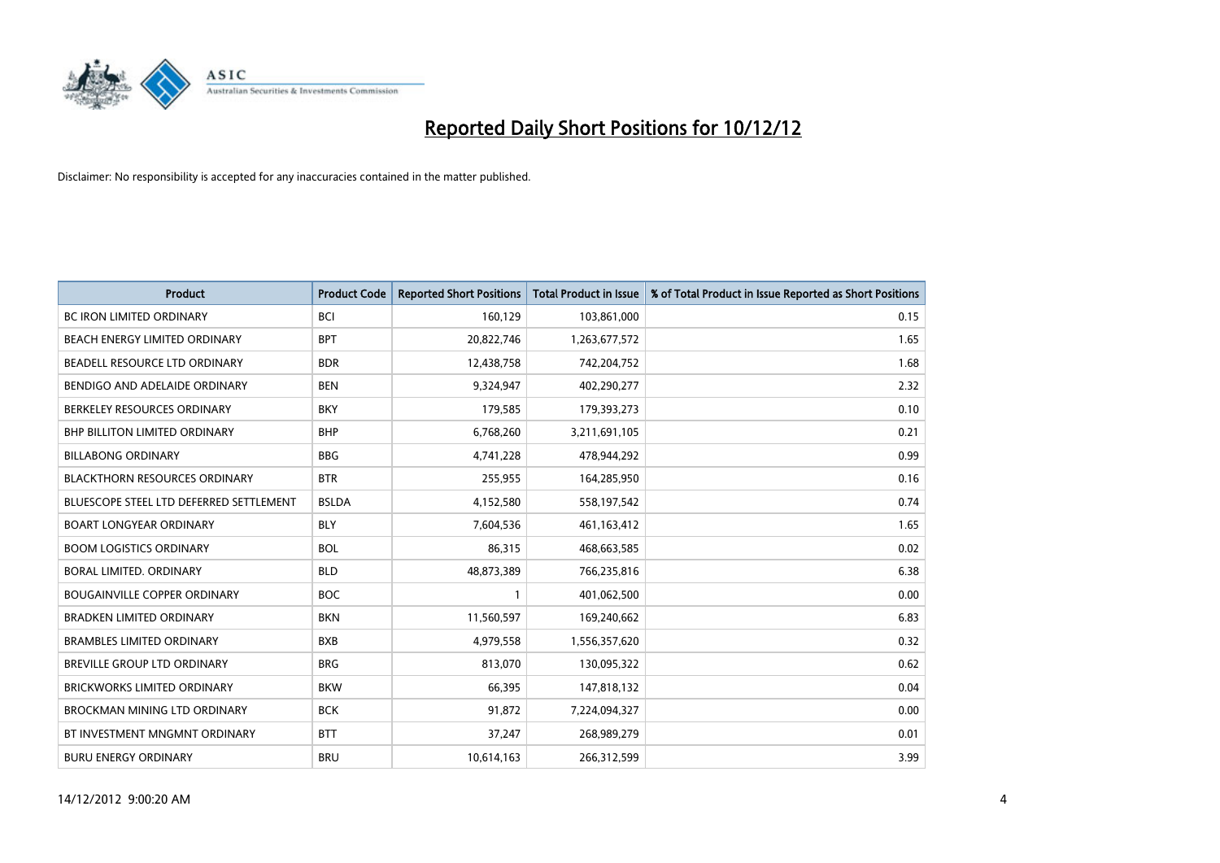

| <b>Product</b>                          | <b>Product Code</b> | <b>Reported Short Positions</b> | <b>Total Product in Issue</b> | % of Total Product in Issue Reported as Short Positions |
|-----------------------------------------|---------------------|---------------------------------|-------------------------------|---------------------------------------------------------|
| <b>BC IRON LIMITED ORDINARY</b>         | <b>BCI</b>          | 160,129                         | 103,861,000                   | 0.15                                                    |
| BEACH ENERGY LIMITED ORDINARY           | <b>BPT</b>          | 20,822,746                      | 1,263,677,572                 | 1.65                                                    |
| BEADELL RESOURCE LTD ORDINARY           | <b>BDR</b>          | 12,438,758                      | 742,204,752                   | 1.68                                                    |
| BENDIGO AND ADELAIDE ORDINARY           | <b>BEN</b>          | 9,324,947                       | 402,290,277                   | 2.32                                                    |
| BERKELEY RESOURCES ORDINARY             | <b>BKY</b>          | 179,585                         | 179,393,273                   | 0.10                                                    |
| <b>BHP BILLITON LIMITED ORDINARY</b>    | <b>BHP</b>          | 6,768,260                       | 3,211,691,105                 | 0.21                                                    |
| <b>BILLABONG ORDINARY</b>               | <b>BBG</b>          | 4,741,228                       | 478,944,292                   | 0.99                                                    |
| <b>BLACKTHORN RESOURCES ORDINARY</b>    | <b>BTR</b>          | 255,955                         | 164,285,950                   | 0.16                                                    |
| BLUESCOPE STEEL LTD DEFERRED SETTLEMENT | <b>BSLDA</b>        | 4,152,580                       | 558,197,542                   | 0.74                                                    |
| <b>BOART LONGYEAR ORDINARY</b>          | <b>BLY</b>          | 7,604,536                       | 461, 163, 412                 | 1.65                                                    |
| <b>BOOM LOGISTICS ORDINARY</b>          | <b>BOL</b>          | 86,315                          | 468,663,585                   | 0.02                                                    |
| BORAL LIMITED, ORDINARY                 | <b>BLD</b>          | 48,873,389                      | 766,235,816                   | 6.38                                                    |
| <b>BOUGAINVILLE COPPER ORDINARY</b>     | <b>BOC</b>          |                                 | 401,062,500                   | 0.00                                                    |
| <b>BRADKEN LIMITED ORDINARY</b>         | <b>BKN</b>          | 11,560,597                      | 169,240,662                   | 6.83                                                    |
| <b>BRAMBLES LIMITED ORDINARY</b>        | <b>BXB</b>          | 4,979,558                       | 1,556,357,620                 | 0.32                                                    |
| BREVILLE GROUP LTD ORDINARY             | <b>BRG</b>          | 813,070                         | 130,095,322                   | 0.62                                                    |
| <b>BRICKWORKS LIMITED ORDINARY</b>      | <b>BKW</b>          | 66,395                          | 147,818,132                   | 0.04                                                    |
| <b>BROCKMAN MINING LTD ORDINARY</b>     | <b>BCK</b>          | 91,872                          | 7,224,094,327                 | 0.00                                                    |
| BT INVESTMENT MNGMNT ORDINARY           | <b>BTT</b>          | 37,247                          | 268,989,279                   | 0.01                                                    |
| <b>BURU ENERGY ORDINARY</b>             | <b>BRU</b>          | 10,614,163                      | 266,312,599                   | 3.99                                                    |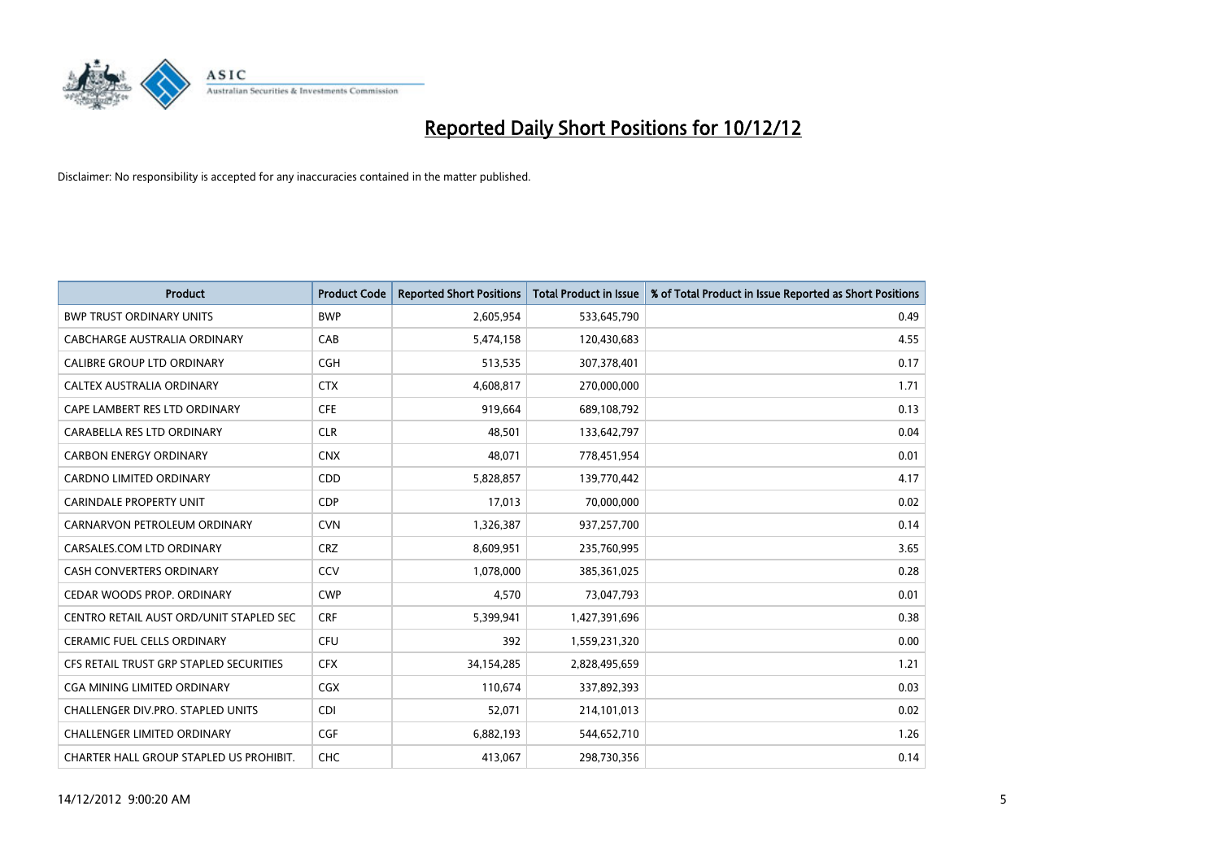

| <b>Product</b>                          | <b>Product Code</b> | <b>Reported Short Positions</b> | <b>Total Product in Issue</b> | % of Total Product in Issue Reported as Short Positions |
|-----------------------------------------|---------------------|---------------------------------|-------------------------------|---------------------------------------------------------|
| <b>BWP TRUST ORDINARY UNITS</b>         | <b>BWP</b>          | 2,605,954                       | 533,645,790                   | 0.49                                                    |
| CABCHARGE AUSTRALIA ORDINARY            | CAB                 | 5,474,158                       | 120,430,683                   | 4.55                                                    |
| <b>CALIBRE GROUP LTD ORDINARY</b>       | <b>CGH</b>          | 513,535                         | 307,378,401                   | 0.17                                                    |
| CALTEX AUSTRALIA ORDINARY               | <b>CTX</b>          | 4,608,817                       | 270,000,000                   | 1.71                                                    |
| CAPE LAMBERT RES LTD ORDINARY           | <b>CFE</b>          | 919.664                         | 689,108,792                   | 0.13                                                    |
| CARABELLA RES LTD ORDINARY              | <b>CLR</b>          | 48,501                          | 133,642,797                   | 0.04                                                    |
| <b>CARBON ENERGY ORDINARY</b>           | <b>CNX</b>          | 48.071                          | 778,451,954                   | 0.01                                                    |
| <b>CARDNO LIMITED ORDINARY</b>          | CDD                 | 5,828,857                       | 139,770,442                   | 4.17                                                    |
| <b>CARINDALE PROPERTY UNIT</b>          | <b>CDP</b>          | 17,013                          | 70,000,000                    | 0.02                                                    |
| CARNARVON PETROLEUM ORDINARY            | <b>CVN</b>          | 1,326,387                       | 937,257,700                   | 0.14                                                    |
| CARSALES.COM LTD ORDINARY               | <b>CRZ</b>          | 8,609,951                       | 235,760,995                   | 3.65                                                    |
| <b>CASH CONVERTERS ORDINARY</b>         | CCV                 | 1,078,000                       | 385,361,025                   | 0.28                                                    |
| CEDAR WOODS PROP. ORDINARY              | <b>CWP</b>          | 4,570                           | 73,047,793                    | 0.01                                                    |
| CENTRO RETAIL AUST ORD/UNIT STAPLED SEC | <b>CRF</b>          | 5,399,941                       | 1,427,391,696                 | 0.38                                                    |
| <b>CERAMIC FUEL CELLS ORDINARY</b>      | <b>CFU</b>          | 392                             | 1,559,231,320                 | 0.00                                                    |
| CFS RETAIL TRUST GRP STAPLED SECURITIES | <b>CFX</b>          | 34,154,285                      | 2,828,495,659                 | 1.21                                                    |
| <b>CGA MINING LIMITED ORDINARY</b>      | <b>CGX</b>          | 110,674                         | 337,892,393                   | 0.03                                                    |
| CHALLENGER DIV.PRO. STAPLED UNITS       | <b>CDI</b>          | 52,071                          | 214,101,013                   | 0.02                                                    |
| <b>CHALLENGER LIMITED ORDINARY</b>      | <b>CGF</b>          | 6,882,193                       | 544,652,710                   | 1.26                                                    |
| CHARTER HALL GROUP STAPLED US PROHIBIT. | <b>CHC</b>          | 413,067                         | 298,730,356                   | 0.14                                                    |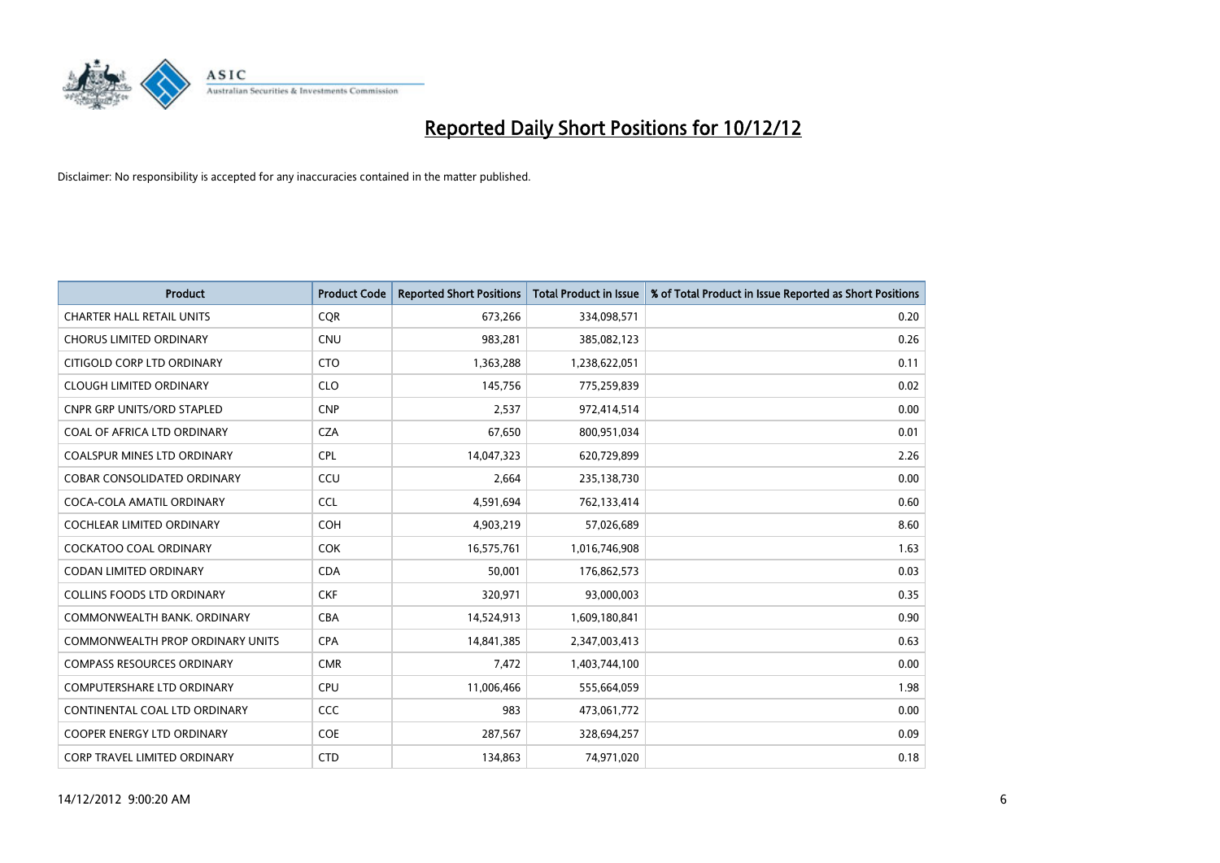

| <b>Product</b>                          | <b>Product Code</b> | <b>Reported Short Positions</b> | <b>Total Product in Issue</b> | % of Total Product in Issue Reported as Short Positions |
|-----------------------------------------|---------------------|---------------------------------|-------------------------------|---------------------------------------------------------|
| <b>CHARTER HALL RETAIL UNITS</b>        | <b>COR</b>          | 673,266                         | 334,098,571                   | 0.20                                                    |
| <b>CHORUS LIMITED ORDINARY</b>          | <b>CNU</b>          | 983,281                         | 385,082,123                   | 0.26                                                    |
| CITIGOLD CORP LTD ORDINARY              | <b>CTO</b>          | 1,363,288                       | 1,238,622,051                 | 0.11                                                    |
| <b>CLOUGH LIMITED ORDINARY</b>          | <b>CLO</b>          | 145,756                         | 775,259,839                   | 0.02                                                    |
| <b>CNPR GRP UNITS/ORD STAPLED</b>       | <b>CNP</b>          | 2,537                           | 972,414,514                   | 0.00                                                    |
| COAL OF AFRICA LTD ORDINARY             | <b>CZA</b>          | 67,650                          | 800,951,034                   | 0.01                                                    |
| <b>COALSPUR MINES LTD ORDINARY</b>      | <b>CPL</b>          | 14,047,323                      | 620,729,899                   | 2.26                                                    |
| COBAR CONSOLIDATED ORDINARY             | CCU                 | 2,664                           | 235,138,730                   | 0.00                                                    |
| COCA-COLA AMATIL ORDINARY               | <b>CCL</b>          | 4,591,694                       | 762,133,414                   | 0.60                                                    |
| <b>COCHLEAR LIMITED ORDINARY</b>        | <b>COH</b>          | 4,903,219                       | 57,026,689                    | 8.60                                                    |
| COCKATOO COAL ORDINARY                  | <b>COK</b>          | 16,575,761                      | 1,016,746,908                 | 1.63                                                    |
| <b>CODAN LIMITED ORDINARY</b>           | <b>CDA</b>          | 50,001                          | 176,862,573                   | 0.03                                                    |
| COLLINS FOODS LTD ORDINARY              | <b>CKF</b>          | 320,971                         | 93,000,003                    | 0.35                                                    |
| COMMONWEALTH BANK, ORDINARY             | <b>CBA</b>          | 14,524,913                      | 1,609,180,841                 | 0.90                                                    |
| <b>COMMONWEALTH PROP ORDINARY UNITS</b> | <b>CPA</b>          | 14,841,385                      | 2,347,003,413                 | 0.63                                                    |
| <b>COMPASS RESOURCES ORDINARY</b>       | <b>CMR</b>          | 7,472                           | 1,403,744,100                 | 0.00                                                    |
| COMPUTERSHARE LTD ORDINARY              | <b>CPU</b>          | 11,006,466                      | 555,664,059                   | 1.98                                                    |
| CONTINENTAL COAL LTD ORDINARY           | CCC                 | 983                             | 473,061,772                   | 0.00                                                    |
| <b>COOPER ENERGY LTD ORDINARY</b>       | <b>COE</b>          | 287,567                         | 328,694,257                   | 0.09                                                    |
| CORP TRAVEL LIMITED ORDINARY            | <b>CTD</b>          | 134,863                         | 74,971,020                    | 0.18                                                    |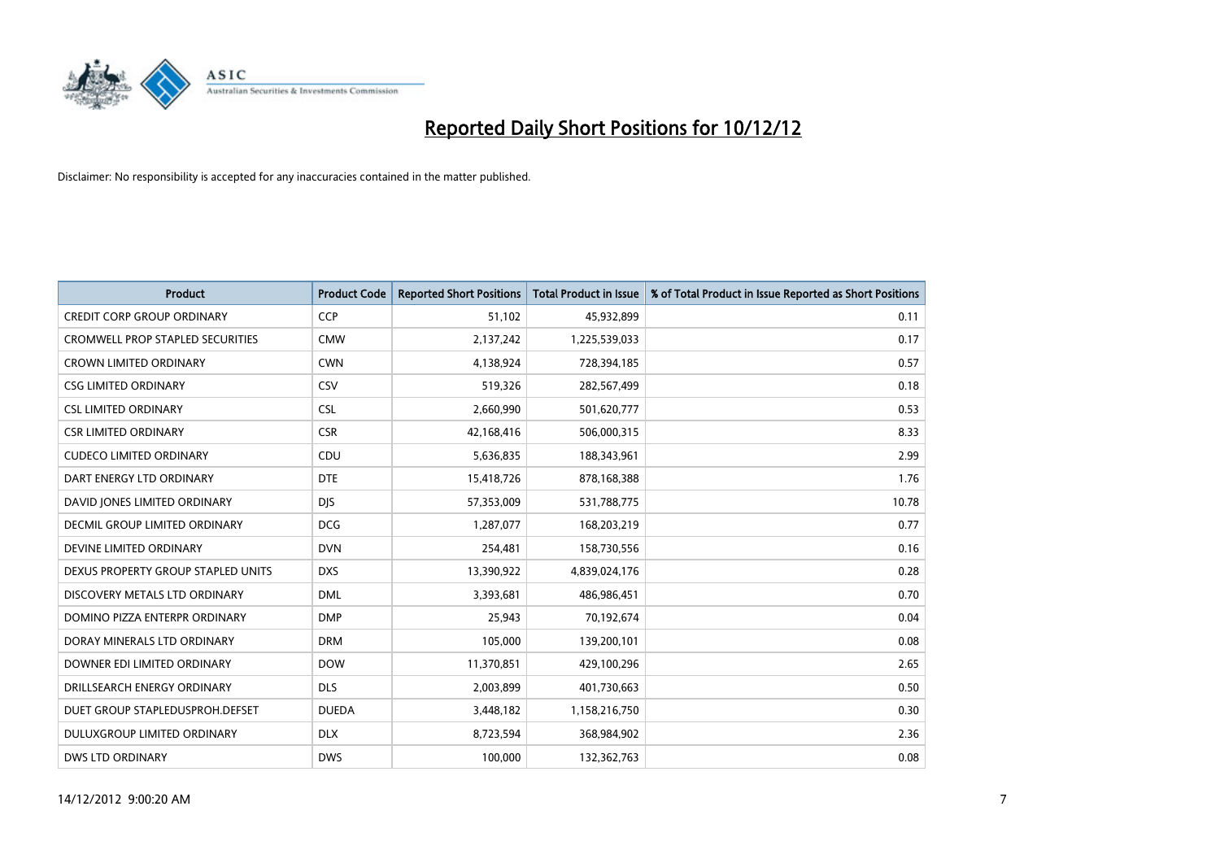

| <b>Product</b>                          | <b>Product Code</b> | <b>Reported Short Positions</b> | <b>Total Product in Issue</b> | % of Total Product in Issue Reported as Short Positions |
|-----------------------------------------|---------------------|---------------------------------|-------------------------------|---------------------------------------------------------|
| <b>CREDIT CORP GROUP ORDINARY</b>       | <b>CCP</b>          | 51,102                          | 45,932,899                    | 0.11                                                    |
| <b>CROMWELL PROP STAPLED SECURITIES</b> | <b>CMW</b>          | 2,137,242                       | 1,225,539,033                 | 0.17                                                    |
| <b>CROWN LIMITED ORDINARY</b>           | <b>CWN</b>          | 4,138,924                       | 728,394,185                   | 0.57                                                    |
| <b>CSG LIMITED ORDINARY</b>             | CSV                 | 519,326                         | 282,567,499                   | 0.18                                                    |
| <b>CSL LIMITED ORDINARY</b>             | <b>CSL</b>          | 2,660,990                       | 501,620,777                   | 0.53                                                    |
| <b>CSR LIMITED ORDINARY</b>             | <b>CSR</b>          | 42,168,416                      | 506,000,315                   | 8.33                                                    |
| <b>CUDECO LIMITED ORDINARY</b>          | CDU                 | 5,636,835                       | 188,343,961                   | 2.99                                                    |
| DART ENERGY LTD ORDINARY                | <b>DTE</b>          | 15,418,726                      | 878,168,388                   | 1.76                                                    |
| DAVID JONES LIMITED ORDINARY            | <b>DIS</b>          | 57,353,009                      | 531,788,775                   | 10.78                                                   |
| DECMIL GROUP LIMITED ORDINARY           | <b>DCG</b>          | 1,287,077                       | 168,203,219                   | 0.77                                                    |
| DEVINE LIMITED ORDINARY                 | <b>DVN</b>          | 254,481                         | 158,730,556                   | 0.16                                                    |
| DEXUS PROPERTY GROUP STAPLED UNITS      | <b>DXS</b>          | 13,390,922                      | 4,839,024,176                 | 0.28                                                    |
| DISCOVERY METALS LTD ORDINARY           | <b>DML</b>          | 3,393,681                       | 486,986,451                   | 0.70                                                    |
| DOMINO PIZZA ENTERPR ORDINARY           | <b>DMP</b>          | 25,943                          | 70,192,674                    | 0.04                                                    |
| DORAY MINERALS LTD ORDINARY             | <b>DRM</b>          | 105,000                         | 139,200,101                   | 0.08                                                    |
| DOWNER EDI LIMITED ORDINARY             | <b>DOW</b>          | 11,370,851                      | 429,100,296                   | 2.65                                                    |
| DRILLSEARCH ENERGY ORDINARY             | <b>DLS</b>          | 2,003,899                       | 401,730,663                   | 0.50                                                    |
| DUET GROUP STAPLEDUSPROH.DEFSET         | <b>DUEDA</b>        | 3,448,182                       | 1,158,216,750                 | 0.30                                                    |
| DULUXGROUP LIMITED ORDINARY             | <b>DLX</b>          | 8,723,594                       | 368,984,902                   | 2.36                                                    |
| <b>DWS LTD ORDINARY</b>                 | <b>DWS</b>          | 100.000                         | 132,362,763                   | 0.08                                                    |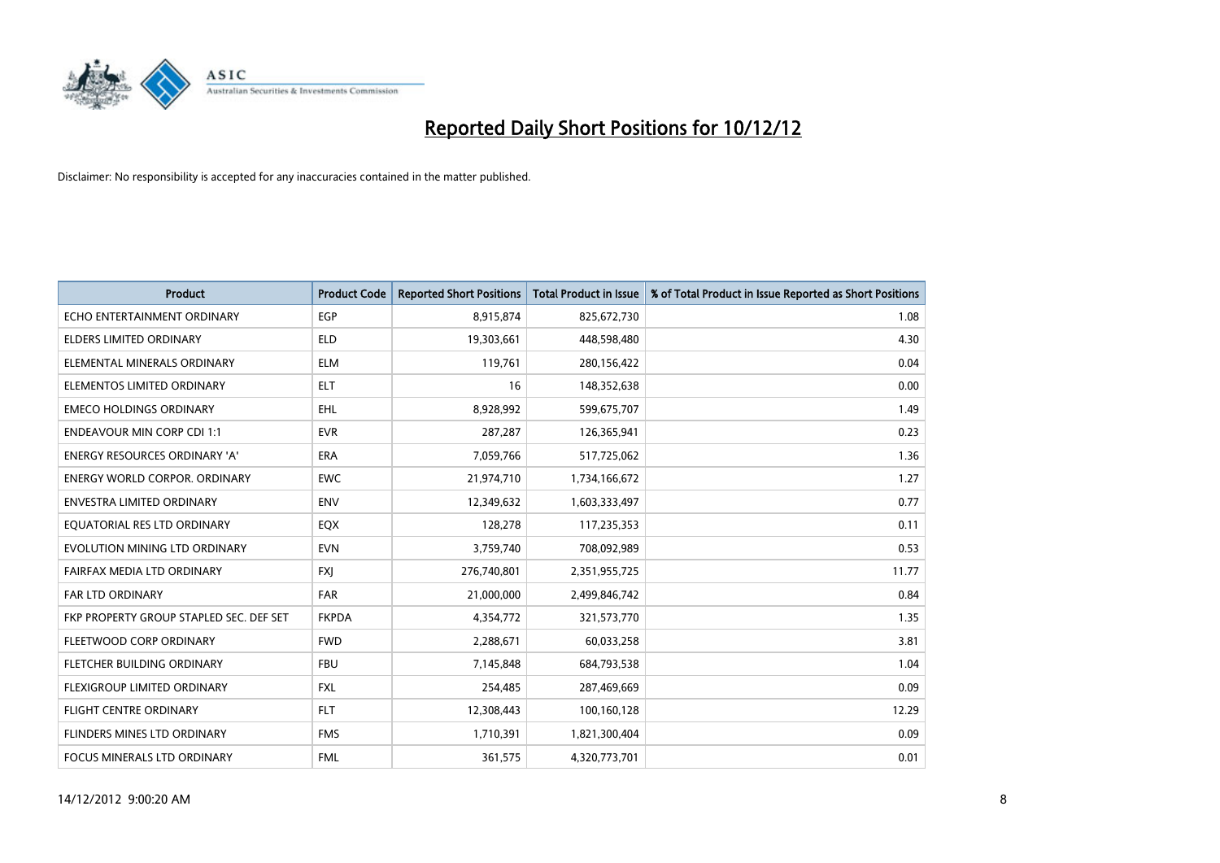

| <b>Product</b>                          | <b>Product Code</b> | <b>Reported Short Positions</b> | <b>Total Product in Issue</b> | % of Total Product in Issue Reported as Short Positions |
|-----------------------------------------|---------------------|---------------------------------|-------------------------------|---------------------------------------------------------|
| ECHO ENTERTAINMENT ORDINARY             | <b>EGP</b>          | 8,915,874                       | 825,672,730                   | 1.08                                                    |
| ELDERS LIMITED ORDINARY                 | <b>ELD</b>          | 19,303,661                      | 448,598,480                   | 4.30                                                    |
| ELEMENTAL MINERALS ORDINARY             | <b>ELM</b>          | 119,761                         | 280,156,422                   | 0.04                                                    |
| ELEMENTOS LIMITED ORDINARY              | <b>ELT</b>          | 16                              | 148,352,638                   | 0.00                                                    |
| <b>EMECO HOLDINGS ORDINARY</b>          | <b>EHL</b>          | 8,928,992                       | 599,675,707                   | 1.49                                                    |
| <b>ENDEAVOUR MIN CORP CDI 1:1</b>       | <b>EVR</b>          | 287,287                         | 126,365,941                   | 0.23                                                    |
| <b>ENERGY RESOURCES ORDINARY 'A'</b>    | <b>ERA</b>          | 7,059,766                       | 517,725,062                   | 1.36                                                    |
| <b>ENERGY WORLD CORPOR. ORDINARY</b>    | <b>EWC</b>          | 21,974,710                      | 1,734,166,672                 | 1.27                                                    |
| <b>ENVESTRA LIMITED ORDINARY</b>        | <b>ENV</b>          | 12,349,632                      | 1,603,333,497                 | 0.77                                                    |
| EQUATORIAL RES LTD ORDINARY             | EQX                 | 128,278                         | 117,235,353                   | 0.11                                                    |
| EVOLUTION MINING LTD ORDINARY           | <b>EVN</b>          | 3,759,740                       | 708,092,989                   | 0.53                                                    |
| FAIRFAX MEDIA LTD ORDINARY              | <b>FXI</b>          | 276,740,801                     | 2,351,955,725                 | 11.77                                                   |
| FAR LTD ORDINARY                        | <b>FAR</b>          | 21,000,000                      | 2,499,846,742                 | 0.84                                                    |
| FKP PROPERTY GROUP STAPLED SEC. DEF SET | <b>FKPDA</b>        | 4,354,772                       | 321,573,770                   | 1.35                                                    |
| FLEETWOOD CORP ORDINARY                 | <b>FWD</b>          | 2,288,671                       | 60,033,258                    | 3.81                                                    |
| FLETCHER BUILDING ORDINARY              | <b>FBU</b>          | 7,145,848                       | 684,793,538                   | 1.04                                                    |
| FLEXIGROUP LIMITED ORDINARY             | <b>FXL</b>          | 254,485                         | 287,469,669                   | 0.09                                                    |
| <b>FLIGHT CENTRE ORDINARY</b>           | <b>FLT</b>          | 12,308,443                      | 100,160,128                   | 12.29                                                   |
| FLINDERS MINES LTD ORDINARY             | <b>FMS</b>          | 1,710,391                       | 1,821,300,404                 | 0.09                                                    |
| FOCUS MINERALS LTD ORDINARY             | <b>FML</b>          | 361,575                         | 4,320,773,701                 | 0.01                                                    |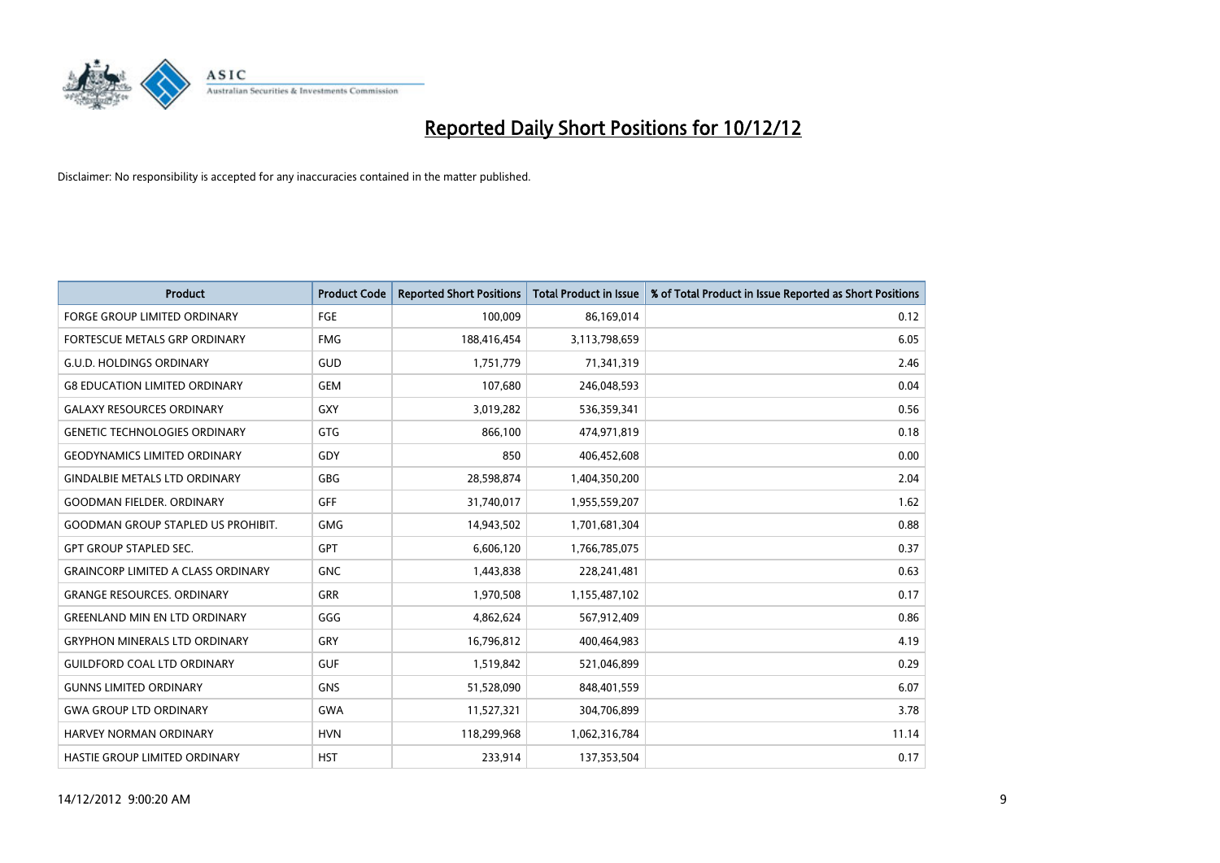

| <b>Product</b>                            | <b>Product Code</b> | <b>Reported Short Positions</b> | <b>Total Product in Issue</b> | % of Total Product in Issue Reported as Short Positions |
|-------------------------------------------|---------------------|---------------------------------|-------------------------------|---------------------------------------------------------|
| <b>FORGE GROUP LIMITED ORDINARY</b>       | FGE                 | 100,009                         | 86,169,014                    | 0.12                                                    |
| FORTESCUE METALS GRP ORDINARY             | <b>FMG</b>          | 188,416,454                     | 3,113,798,659                 | 6.05                                                    |
| <b>G.U.D. HOLDINGS ORDINARY</b>           | GUD                 | 1,751,779                       | 71,341,319                    | 2.46                                                    |
| <b>G8 EDUCATION LIMITED ORDINARY</b>      | GEM                 | 107,680                         | 246,048,593                   | 0.04                                                    |
| <b>GALAXY RESOURCES ORDINARY</b>          | GXY                 | 3,019,282                       | 536,359,341                   | 0.56                                                    |
| <b>GENETIC TECHNOLOGIES ORDINARY</b>      | GTG                 | 866,100                         | 474,971,819                   | 0.18                                                    |
| <b>GEODYNAMICS LIMITED ORDINARY</b>       | GDY                 | 850                             | 406,452,608                   | 0.00                                                    |
| <b>GINDALBIE METALS LTD ORDINARY</b>      | GBG                 | 28,598,874                      | 1,404,350,200                 | 2.04                                                    |
| <b>GOODMAN FIELDER. ORDINARY</b>          | <b>GFF</b>          | 31,740,017                      | 1,955,559,207                 | 1.62                                                    |
| <b>GOODMAN GROUP STAPLED US PROHIBIT.</b> | <b>GMG</b>          | 14,943,502                      | 1,701,681,304                 | 0.88                                                    |
| <b>GPT GROUP STAPLED SEC.</b>             | <b>GPT</b>          | 6,606,120                       | 1,766,785,075                 | 0.37                                                    |
| <b>GRAINCORP LIMITED A CLASS ORDINARY</b> | <b>GNC</b>          | 1,443,838                       | 228,241,481                   | 0.63                                                    |
| <b>GRANGE RESOURCES. ORDINARY</b>         | <b>GRR</b>          | 1,970,508                       | 1,155,487,102                 | 0.17                                                    |
| <b>GREENLAND MIN EN LTD ORDINARY</b>      | GGG                 | 4,862,624                       | 567,912,409                   | 0.86                                                    |
| <b>GRYPHON MINERALS LTD ORDINARY</b>      | GRY                 | 16,796,812                      | 400,464,983                   | 4.19                                                    |
| <b>GUILDFORD COAL LTD ORDINARY</b>        | <b>GUF</b>          | 1,519,842                       | 521,046,899                   | 0.29                                                    |
| <b>GUNNS LIMITED ORDINARY</b>             | <b>GNS</b>          | 51,528,090                      | 848,401,559                   | 6.07                                                    |
| <b>GWA GROUP LTD ORDINARY</b>             | <b>GWA</b>          | 11,527,321                      | 304,706,899                   | 3.78                                                    |
| HARVEY NORMAN ORDINARY                    | <b>HVN</b>          | 118,299,968                     | 1,062,316,784                 | 11.14                                                   |
| <b>HASTIE GROUP LIMITED ORDINARY</b>      | <b>HST</b>          | 233.914                         | 137,353,504                   | 0.17                                                    |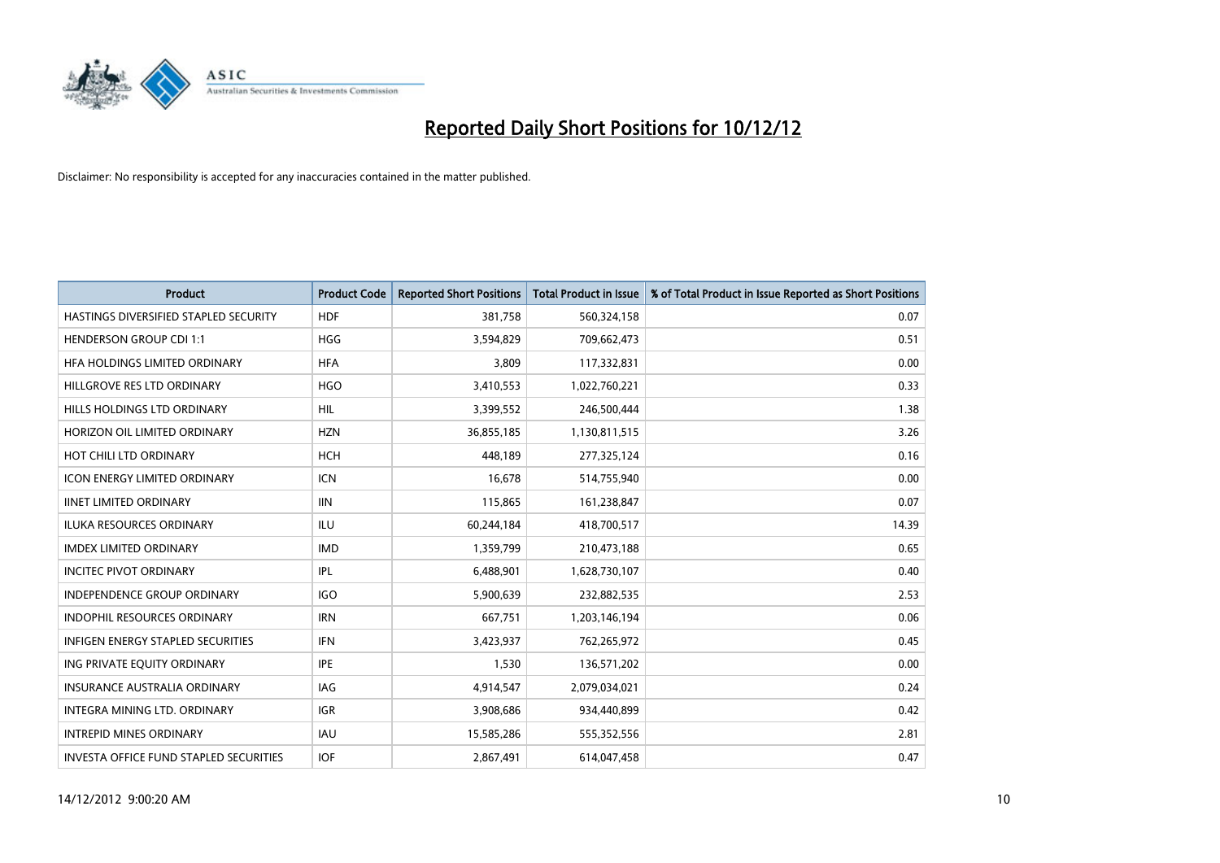

| <b>Product</b>                                | <b>Product Code</b> | <b>Reported Short Positions</b> | <b>Total Product in Issue</b> | % of Total Product in Issue Reported as Short Positions |
|-----------------------------------------------|---------------------|---------------------------------|-------------------------------|---------------------------------------------------------|
| HASTINGS DIVERSIFIED STAPLED SECURITY         | <b>HDF</b>          | 381,758                         | 560,324,158                   | 0.07                                                    |
| <b>HENDERSON GROUP CDI 1:1</b>                | <b>HGG</b>          | 3,594,829                       | 709,662,473                   | 0.51                                                    |
| HFA HOLDINGS LIMITED ORDINARY                 | <b>HFA</b>          | 3,809                           | 117,332,831                   | 0.00                                                    |
| HILLGROVE RES LTD ORDINARY                    | <b>HGO</b>          | 3,410,553                       | 1,022,760,221                 | 0.33                                                    |
| HILLS HOLDINGS LTD ORDINARY                   | <b>HIL</b>          | 3,399,552                       | 246,500,444                   | 1.38                                                    |
| HORIZON OIL LIMITED ORDINARY                  | <b>HZN</b>          | 36,855,185                      | 1,130,811,515                 | 3.26                                                    |
| HOT CHILI LTD ORDINARY                        | <b>HCH</b>          | 448,189                         | 277,325,124                   | 0.16                                                    |
| ICON ENERGY LIMITED ORDINARY                  | <b>ICN</b>          | 16,678                          | 514,755,940                   | 0.00                                                    |
| <b>IINET LIMITED ORDINARY</b>                 | <b>IIN</b>          | 115,865                         | 161,238,847                   | 0.07                                                    |
| <b>ILUKA RESOURCES ORDINARY</b>               | ILU                 | 60,244,184                      | 418,700,517                   | 14.39                                                   |
| <b>IMDEX LIMITED ORDINARY</b>                 | <b>IMD</b>          | 1,359,799                       | 210,473,188                   | 0.65                                                    |
| <b>INCITEC PIVOT ORDINARY</b>                 | <b>IPL</b>          | 6,488,901                       | 1,628,730,107                 | 0.40                                                    |
| <b>INDEPENDENCE GROUP ORDINARY</b>            | <b>IGO</b>          | 5,900,639                       | 232,882,535                   | 2.53                                                    |
| <b>INDOPHIL RESOURCES ORDINARY</b>            | <b>IRN</b>          | 667,751                         | 1,203,146,194                 | 0.06                                                    |
| <b>INFIGEN ENERGY STAPLED SECURITIES</b>      | <b>IFN</b>          | 3,423,937                       | 762,265,972                   | 0.45                                                    |
| ING PRIVATE EQUITY ORDINARY                   | <b>IPE</b>          | 1,530                           | 136,571,202                   | 0.00                                                    |
| <b>INSURANCE AUSTRALIA ORDINARY</b>           | IAG                 | 4,914,547                       | 2,079,034,021                 | 0.24                                                    |
| INTEGRA MINING LTD, ORDINARY                  | <b>IGR</b>          | 3,908,686                       | 934,440,899                   | 0.42                                                    |
| <b>INTREPID MINES ORDINARY</b>                | <b>IAU</b>          | 15,585,286                      | 555,352,556                   | 2.81                                                    |
| <b>INVESTA OFFICE FUND STAPLED SECURITIES</b> | <b>IOF</b>          | 2,867,491                       | 614,047,458                   | 0.47                                                    |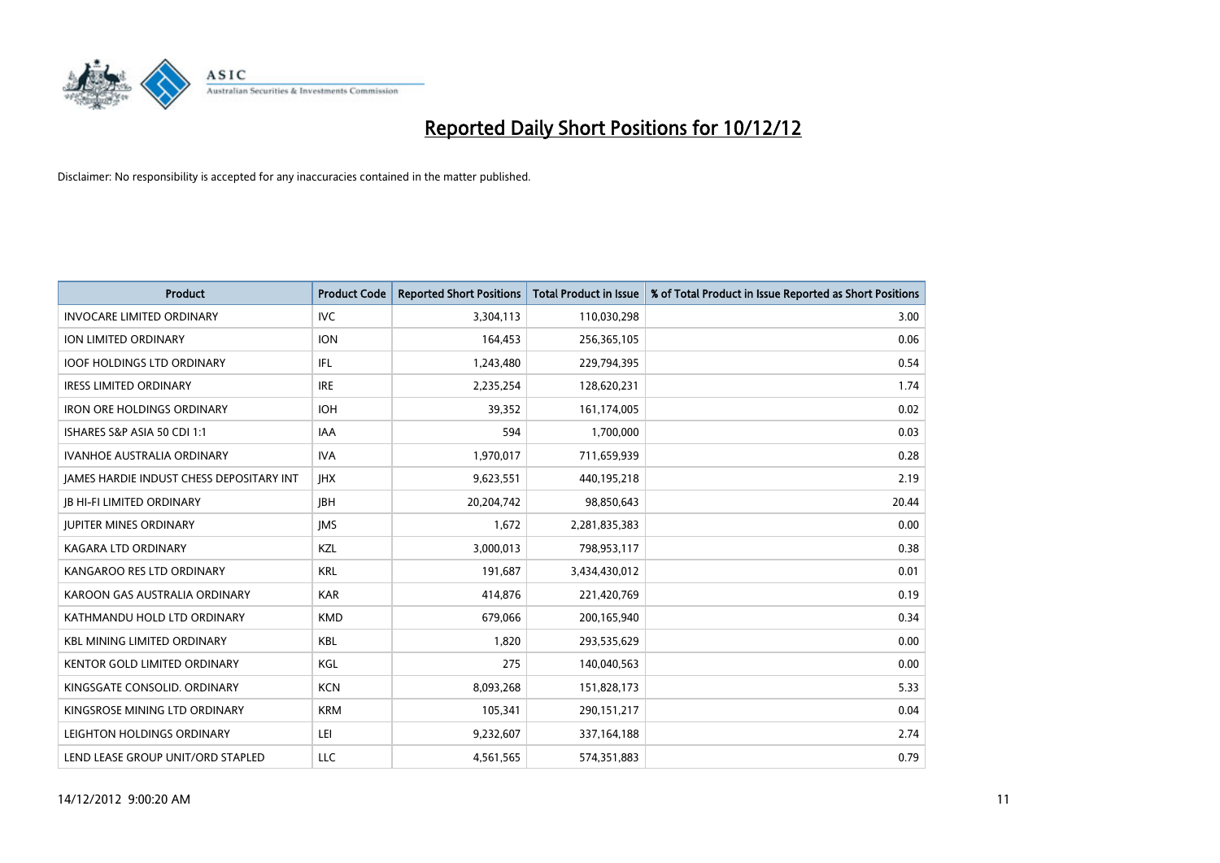

| <b>Product</b>                           | <b>Product Code</b> | <b>Reported Short Positions</b> | <b>Total Product in Issue</b> | % of Total Product in Issue Reported as Short Positions |
|------------------------------------------|---------------------|---------------------------------|-------------------------------|---------------------------------------------------------|
| <b>INVOCARE LIMITED ORDINARY</b>         | <b>IVC</b>          | 3,304,113                       | 110,030,298                   | 3.00                                                    |
| ION LIMITED ORDINARY                     | <b>ION</b>          | 164,453                         | 256,365,105                   | 0.06                                                    |
| <b>IOOF HOLDINGS LTD ORDINARY</b>        | <b>IFL</b>          | 1,243,480                       | 229,794,395                   | 0.54                                                    |
| <b>IRESS LIMITED ORDINARY</b>            | <b>IRE</b>          | 2,235,254                       | 128,620,231                   | 1.74                                                    |
| <b>IRON ORE HOLDINGS ORDINARY</b>        | <b>IOH</b>          | 39,352                          | 161,174,005                   | 0.02                                                    |
| ISHARES S&P ASIA 50 CDI 1:1              | <b>IAA</b>          | 594                             | 1,700,000                     | 0.03                                                    |
| <b>IVANHOE AUSTRALIA ORDINARY</b>        | <b>IVA</b>          | 1,970,017                       | 711,659,939                   | 0.28                                                    |
| JAMES HARDIE INDUST CHESS DEPOSITARY INT | <b>IHX</b>          | 9,623,551                       | 440,195,218                   | 2.19                                                    |
| <b>IB HI-FI LIMITED ORDINARY</b>         | <b>IBH</b>          | 20,204,742                      | 98,850,643                    | 20.44                                                   |
| <b>JUPITER MINES ORDINARY</b>            | <b>IMS</b>          | 1,672                           | 2,281,835,383                 | 0.00                                                    |
| <b>KAGARA LTD ORDINARY</b>               | <b>KZL</b>          | 3,000,013                       | 798,953,117                   | 0.38                                                    |
| KANGAROO RES LTD ORDINARY                | <b>KRL</b>          | 191,687                         | 3,434,430,012                 | 0.01                                                    |
| KAROON GAS AUSTRALIA ORDINARY            | <b>KAR</b>          | 414,876                         | 221,420,769                   | 0.19                                                    |
| KATHMANDU HOLD LTD ORDINARY              | <b>KMD</b>          | 679,066                         | 200,165,940                   | 0.34                                                    |
| <b>KBL MINING LIMITED ORDINARY</b>       | <b>KBL</b>          | 1.820                           | 293,535,629                   | 0.00                                                    |
| <b>KENTOR GOLD LIMITED ORDINARY</b>      | KGL                 | 275                             | 140,040,563                   | 0.00                                                    |
| KINGSGATE CONSOLID. ORDINARY             | <b>KCN</b>          | 8,093,268                       | 151,828,173                   | 5.33                                                    |
| KINGSROSE MINING LTD ORDINARY            | <b>KRM</b>          | 105,341                         | 290,151,217                   | 0.04                                                    |
| LEIGHTON HOLDINGS ORDINARY               | LEI                 | 9,232,607                       | 337, 164, 188                 | 2.74                                                    |
| LEND LEASE GROUP UNIT/ORD STAPLED        | LLC                 | 4,561,565                       | 574,351,883                   | 0.79                                                    |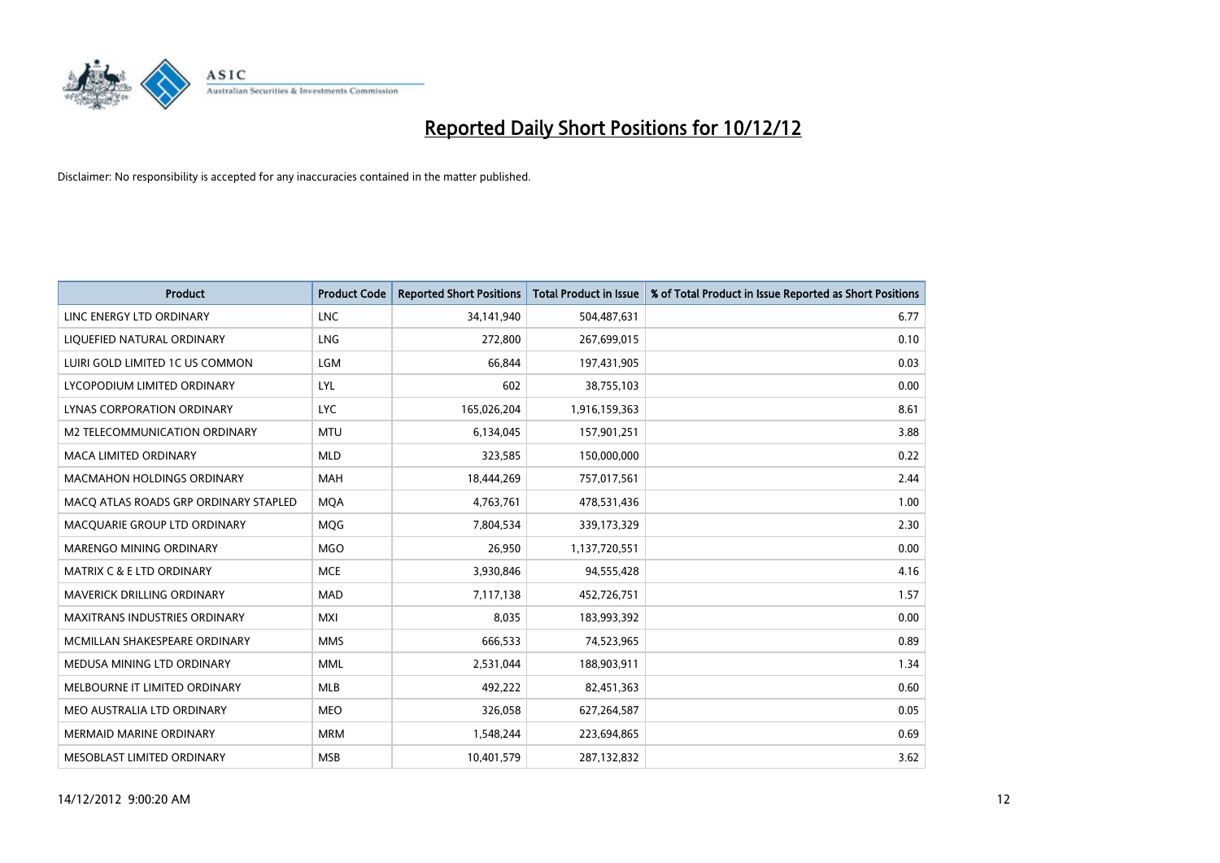

| <b>Product</b>                        | <b>Product Code</b> | <b>Reported Short Positions</b> | <b>Total Product in Issue</b> | % of Total Product in Issue Reported as Short Positions |
|---------------------------------------|---------------------|---------------------------------|-------------------------------|---------------------------------------------------------|
| LINC ENERGY LTD ORDINARY              | <b>LNC</b>          | 34,141,940                      | 504,487,631                   | 6.77                                                    |
| LIQUEFIED NATURAL ORDINARY            | <b>LNG</b>          | 272,800                         | 267,699,015                   | 0.10                                                    |
| LUIRI GOLD LIMITED 1C US COMMON       | LGM                 | 66,844                          | 197,431,905                   | 0.03                                                    |
| LYCOPODIUM LIMITED ORDINARY           | LYL                 | 602                             | 38,755,103                    | 0.00                                                    |
| <b>LYNAS CORPORATION ORDINARY</b>     | <b>LYC</b>          | 165,026,204                     | 1,916,159,363                 | 8.61                                                    |
| M2 TELECOMMUNICATION ORDINARY         | <b>MTU</b>          | 6,134,045                       | 157,901,251                   | 3.88                                                    |
| MACA LIMITED ORDINARY                 | <b>MLD</b>          | 323,585                         | 150,000,000                   | 0.22                                                    |
| MACMAHON HOLDINGS ORDINARY            | <b>MAH</b>          | 18,444,269                      | 757,017,561                   | 2.44                                                    |
| MACO ATLAS ROADS GRP ORDINARY STAPLED | <b>MQA</b>          | 4,763,761                       | 478,531,436                   | 1.00                                                    |
| MACQUARIE GROUP LTD ORDINARY          | <b>MQG</b>          | 7,804,534                       | 339,173,329                   | 2.30                                                    |
| MARENGO MINING ORDINARY               | <b>MGO</b>          | 26,950                          | 1,137,720,551                 | 0.00                                                    |
| <b>MATRIX C &amp; E LTD ORDINARY</b>  | <b>MCE</b>          | 3,930,846                       | 94,555,428                    | 4.16                                                    |
| MAVERICK DRILLING ORDINARY            | <b>MAD</b>          | 7,117,138                       | 452,726,751                   | 1.57                                                    |
| <b>MAXITRANS INDUSTRIES ORDINARY</b>  | <b>MXI</b>          | 8,035                           | 183,993,392                   | 0.00                                                    |
| MCMILLAN SHAKESPEARE ORDINARY         | <b>MMS</b>          | 666,533                         | 74,523,965                    | 0.89                                                    |
| MEDUSA MINING LTD ORDINARY            | <b>MML</b>          | 2,531,044                       | 188,903,911                   | 1.34                                                    |
| MELBOURNE IT LIMITED ORDINARY         | <b>MLB</b>          | 492,222                         | 82,451,363                    | 0.60                                                    |
| MEO AUSTRALIA LTD ORDINARY            | <b>MEO</b>          | 326,058                         | 627,264,587                   | 0.05                                                    |
| <b>MERMAID MARINE ORDINARY</b>        | <b>MRM</b>          | 1,548,244                       | 223,694,865                   | 0.69                                                    |
| <b>MESOBLAST LIMITED ORDINARY</b>     | <b>MSB</b>          | 10,401,579                      | 287,132,832                   | 3.62                                                    |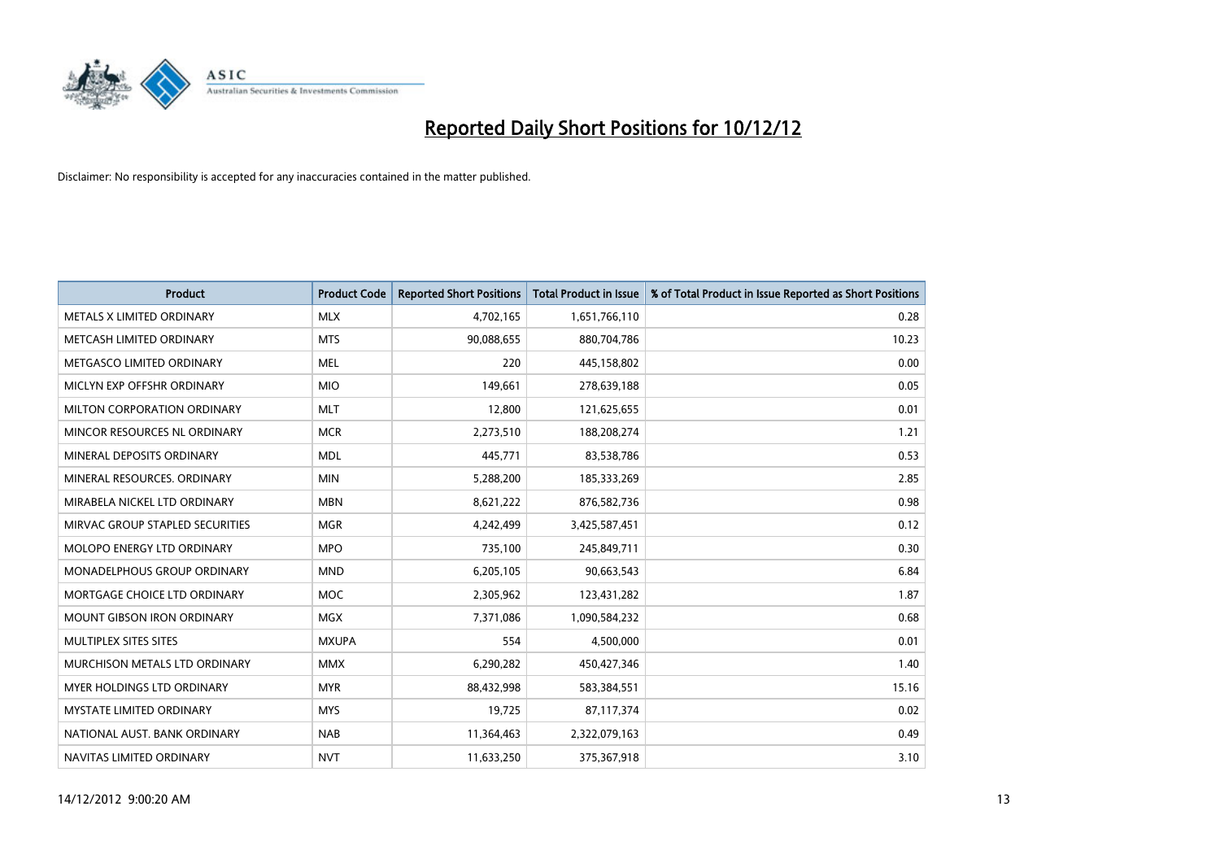

| <b>Product</b>                       | <b>Product Code</b> | <b>Reported Short Positions</b> | <b>Total Product in Issue</b> | % of Total Product in Issue Reported as Short Positions |
|--------------------------------------|---------------------|---------------------------------|-------------------------------|---------------------------------------------------------|
| METALS X LIMITED ORDINARY            | <b>MLX</b>          | 4,702,165                       | 1,651,766,110                 | 0.28                                                    |
| METCASH LIMITED ORDINARY             | <b>MTS</b>          | 90,088,655                      | 880,704,786                   | 10.23                                                   |
| METGASCO LIMITED ORDINARY            | <b>MEL</b>          | 220                             | 445,158,802                   | 0.00                                                    |
| MICLYN EXP OFFSHR ORDINARY           | <b>MIO</b>          | 149,661                         | 278,639,188                   | 0.05                                                    |
| MILTON CORPORATION ORDINARY          | <b>MLT</b>          | 12,800                          | 121,625,655                   | 0.01                                                    |
| MINCOR RESOURCES NL ORDINARY         | <b>MCR</b>          | 2,273,510                       | 188,208,274                   | 1.21                                                    |
| MINERAL DEPOSITS ORDINARY            | <b>MDL</b>          | 445.771                         | 83,538,786                    | 0.53                                                    |
| MINERAL RESOURCES, ORDINARY          | <b>MIN</b>          | 5,288,200                       | 185,333,269                   | 2.85                                                    |
| MIRABELA NICKEL LTD ORDINARY         | <b>MBN</b>          | 8,621,222                       | 876,582,736                   | 0.98                                                    |
| MIRVAC GROUP STAPLED SECURITIES      | <b>MGR</b>          | 4,242,499                       | 3,425,587,451                 | 0.12                                                    |
| MOLOPO ENERGY LTD ORDINARY           | <b>MPO</b>          | 735,100                         | 245,849,711                   | 0.30                                                    |
| MONADELPHOUS GROUP ORDINARY          | <b>MND</b>          | 6,205,105                       | 90,663,543                    | 6.84                                                    |
| MORTGAGE CHOICE LTD ORDINARY         | <b>MOC</b>          | 2,305,962                       | 123,431,282                   | 1.87                                                    |
| <b>MOUNT GIBSON IRON ORDINARY</b>    | <b>MGX</b>          | 7,371,086                       | 1,090,584,232                 | 0.68                                                    |
| MULTIPLEX SITES SITES                | <b>MXUPA</b>        | 554                             | 4,500,000                     | 0.01                                                    |
| <b>MURCHISON METALS LTD ORDINARY</b> | <b>MMX</b>          | 6,290,282                       | 450,427,346                   | 1.40                                                    |
| <b>MYER HOLDINGS LTD ORDINARY</b>    | <b>MYR</b>          | 88,432,998                      | 583,384,551                   | 15.16                                                   |
| <b>MYSTATE LIMITED ORDINARY</b>      | <b>MYS</b>          | 19,725                          | 87,117,374                    | 0.02                                                    |
| NATIONAL AUST, BANK ORDINARY         | <b>NAB</b>          | 11,364,463                      | 2,322,079,163                 | 0.49                                                    |
| NAVITAS LIMITED ORDINARY             | <b>NVT</b>          | 11,633,250                      | 375,367,918                   | 3.10                                                    |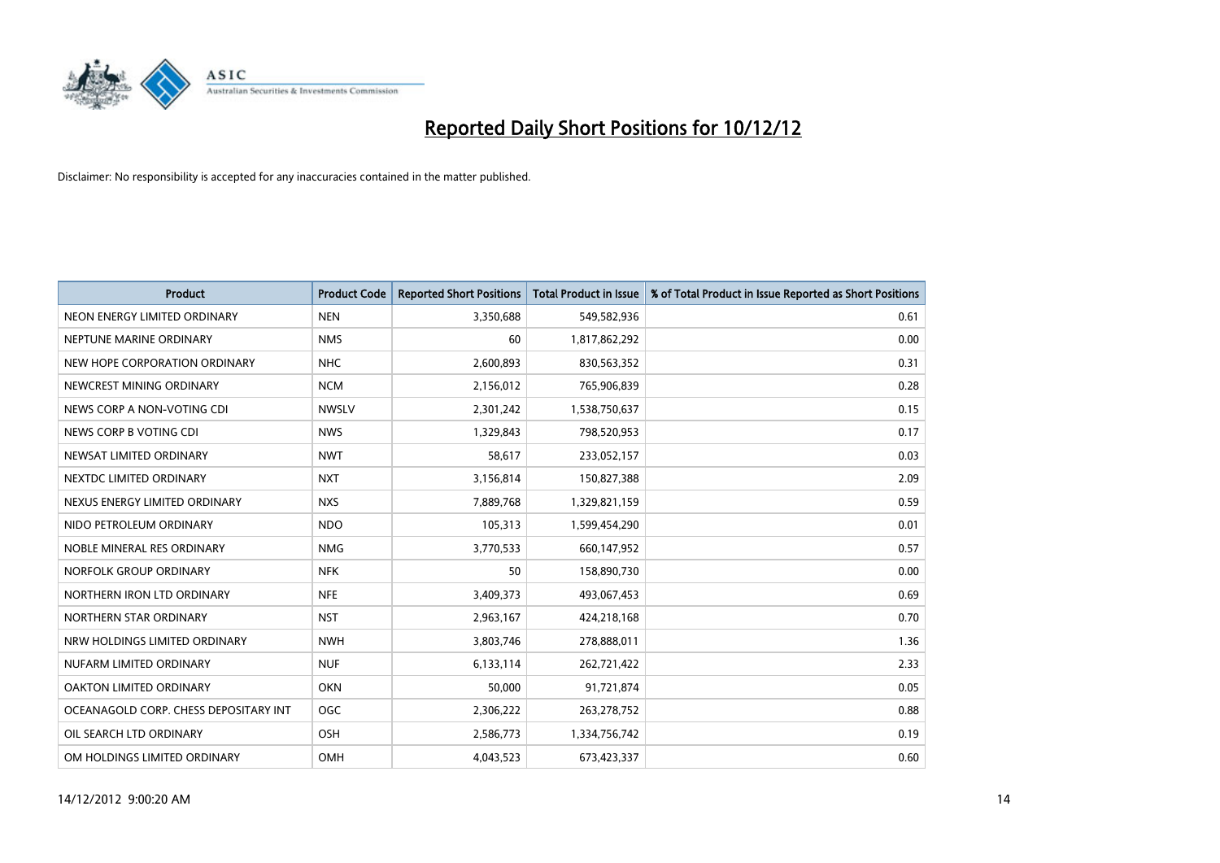

| <b>Product</b>                        | <b>Product Code</b> | <b>Reported Short Positions</b> | <b>Total Product in Issue</b> | % of Total Product in Issue Reported as Short Positions |
|---------------------------------------|---------------------|---------------------------------|-------------------------------|---------------------------------------------------------|
| NEON ENERGY LIMITED ORDINARY          | <b>NEN</b>          | 3,350,688                       | 549,582,936                   | 0.61                                                    |
| NEPTUNE MARINE ORDINARY               | <b>NMS</b>          | 60                              | 1,817,862,292                 | 0.00                                                    |
| NEW HOPE CORPORATION ORDINARY         | <b>NHC</b>          | 2,600,893                       | 830,563,352                   | 0.31                                                    |
| NEWCREST MINING ORDINARY              | <b>NCM</b>          | 2,156,012                       | 765,906,839                   | 0.28                                                    |
| NEWS CORP A NON-VOTING CDI            | <b>NWSLV</b>        | 2,301,242                       | 1,538,750,637                 | 0.15                                                    |
| NEWS CORP B VOTING CDI                | <b>NWS</b>          | 1,329,843                       | 798,520,953                   | 0.17                                                    |
| NEWSAT LIMITED ORDINARY               | <b>NWT</b>          | 58,617                          | 233,052,157                   | 0.03                                                    |
| NEXTDC LIMITED ORDINARY               | <b>NXT</b>          | 3,156,814                       | 150,827,388                   | 2.09                                                    |
| NEXUS ENERGY LIMITED ORDINARY         | <b>NXS</b>          | 7,889,768                       | 1,329,821,159                 | 0.59                                                    |
| NIDO PETROLEUM ORDINARY               | <b>NDO</b>          | 105,313                         | 1,599,454,290                 | 0.01                                                    |
| NOBLE MINERAL RES ORDINARY            | <b>NMG</b>          | 3,770,533                       | 660,147,952                   | 0.57                                                    |
| NORFOLK GROUP ORDINARY                | <b>NFK</b>          | 50                              | 158,890,730                   | 0.00                                                    |
| NORTHERN IRON LTD ORDINARY            | <b>NFE</b>          | 3,409,373                       | 493,067,453                   | 0.69                                                    |
| NORTHERN STAR ORDINARY                | <b>NST</b>          | 2,963,167                       | 424,218,168                   | 0.70                                                    |
| NRW HOLDINGS LIMITED ORDINARY         | <b>NWH</b>          | 3,803,746                       | 278,888,011                   | 1.36                                                    |
| NUFARM LIMITED ORDINARY               | <b>NUF</b>          | 6,133,114                       | 262,721,422                   | 2.33                                                    |
| OAKTON LIMITED ORDINARY               | <b>OKN</b>          | 50,000                          | 91,721,874                    | 0.05                                                    |
| OCEANAGOLD CORP. CHESS DEPOSITARY INT | OGC                 | 2,306,222                       | 263,278,752                   | 0.88                                                    |
| OIL SEARCH LTD ORDINARY               | <b>OSH</b>          | 2,586,773                       | 1,334,756,742                 | 0.19                                                    |
| OM HOLDINGS LIMITED ORDINARY          | OMH                 | 4,043,523                       | 673,423,337                   | 0.60                                                    |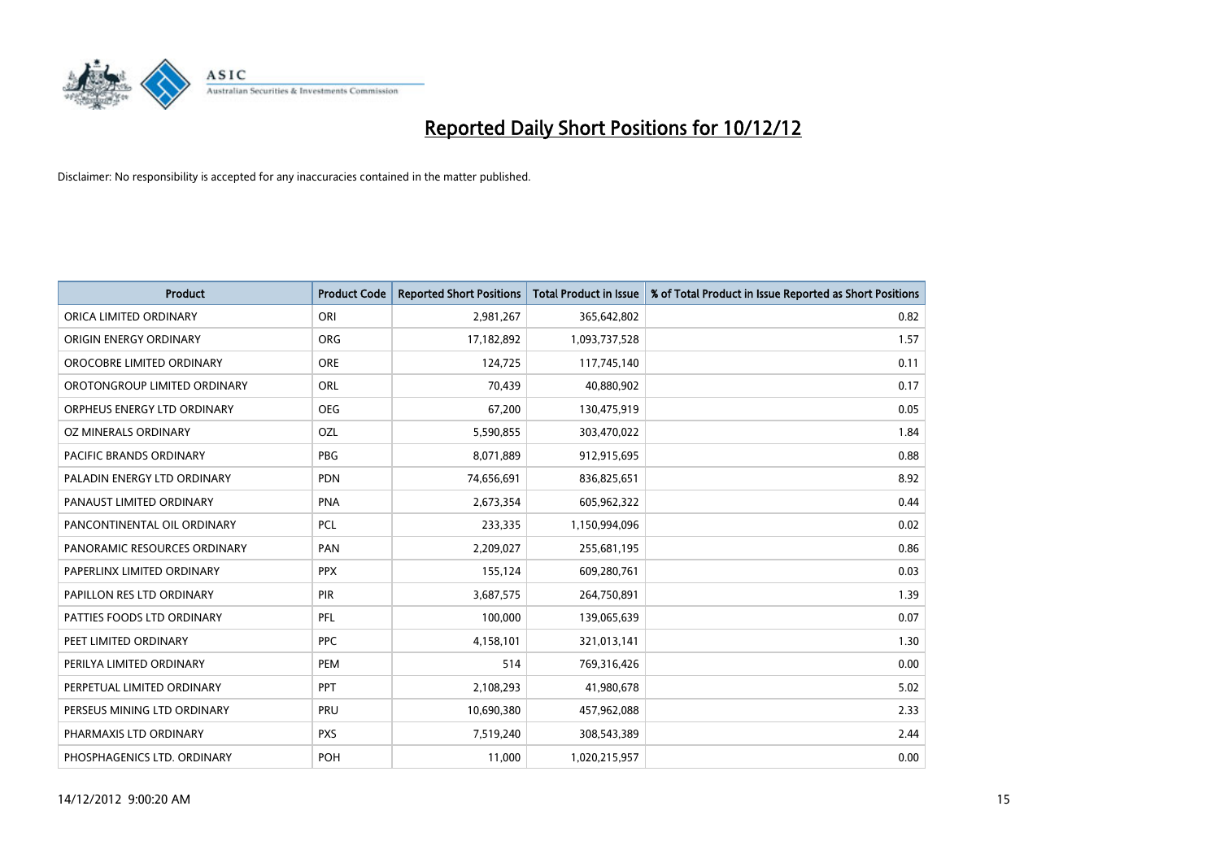

| <b>Product</b>               | <b>Product Code</b> | <b>Reported Short Positions</b> | <b>Total Product in Issue</b> | % of Total Product in Issue Reported as Short Positions |
|------------------------------|---------------------|---------------------------------|-------------------------------|---------------------------------------------------------|
| ORICA LIMITED ORDINARY       | ORI                 | 2,981,267                       | 365,642,802                   | 0.82                                                    |
| ORIGIN ENERGY ORDINARY       | <b>ORG</b>          | 17,182,892                      | 1,093,737,528                 | 1.57                                                    |
| OROCOBRE LIMITED ORDINARY    | <b>ORE</b>          | 124,725                         | 117,745,140                   | 0.11                                                    |
| OROTONGROUP LIMITED ORDINARY | <b>ORL</b>          | 70,439                          | 40,880,902                    | 0.17                                                    |
| ORPHEUS ENERGY LTD ORDINARY  | <b>OEG</b>          | 67,200                          | 130,475,919                   | 0.05                                                    |
| OZ MINERALS ORDINARY         | OZL                 | 5,590,855                       | 303,470,022                   | 1.84                                                    |
| PACIFIC BRANDS ORDINARY      | <b>PBG</b>          | 8,071,889                       | 912,915,695                   | 0.88                                                    |
| PALADIN ENERGY LTD ORDINARY  | <b>PDN</b>          | 74,656,691                      | 836,825,651                   | 8.92                                                    |
| PANAUST LIMITED ORDINARY     | <b>PNA</b>          | 2,673,354                       | 605,962,322                   | 0.44                                                    |
| PANCONTINENTAL OIL ORDINARY  | <b>PCL</b>          | 233,335                         | 1,150,994,096                 | 0.02                                                    |
| PANORAMIC RESOURCES ORDINARY | PAN                 | 2,209,027                       | 255,681,195                   | 0.86                                                    |
| PAPERLINX LIMITED ORDINARY   | <b>PPX</b>          | 155,124                         | 609,280,761                   | 0.03                                                    |
| PAPILLON RES LTD ORDINARY    | <b>PIR</b>          | 3,687,575                       | 264,750,891                   | 1.39                                                    |
| PATTIES FOODS LTD ORDINARY   | PFL                 | 100,000                         | 139,065,639                   | 0.07                                                    |
| PEET LIMITED ORDINARY        | <b>PPC</b>          | 4,158,101                       | 321,013,141                   | 1.30                                                    |
| PERILYA LIMITED ORDINARY     | PEM                 | 514                             | 769,316,426                   | 0.00                                                    |
| PERPETUAL LIMITED ORDINARY   | PPT                 | 2,108,293                       | 41,980,678                    | 5.02                                                    |
| PERSEUS MINING LTD ORDINARY  | <b>PRU</b>          | 10,690,380                      | 457,962,088                   | 2.33                                                    |
| PHARMAXIS LTD ORDINARY       | <b>PXS</b>          | 7,519,240                       | 308,543,389                   | 2.44                                                    |
| PHOSPHAGENICS LTD. ORDINARY  | POH                 | 11,000                          | 1,020,215,957                 | 0.00                                                    |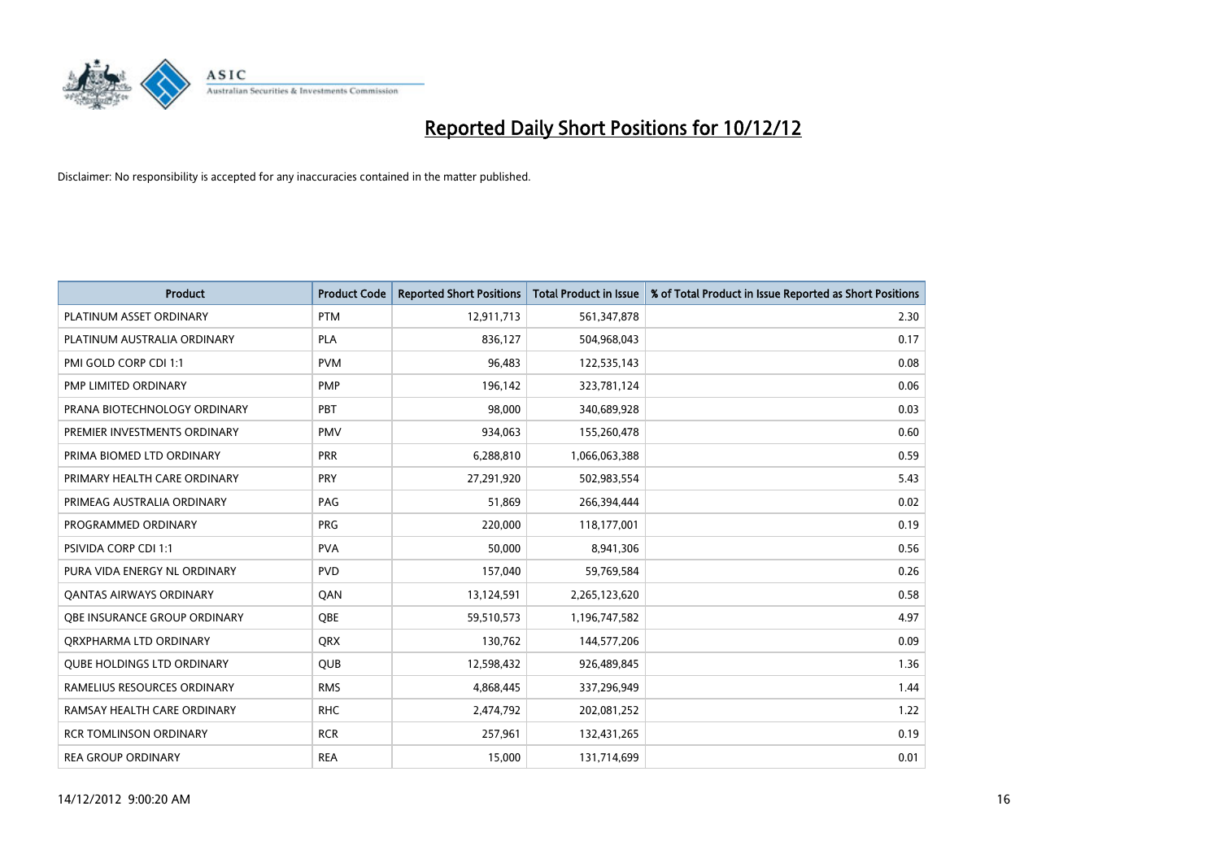

| <b>Product</b>                    | <b>Product Code</b> | <b>Reported Short Positions</b> | Total Product in Issue | % of Total Product in Issue Reported as Short Positions |
|-----------------------------------|---------------------|---------------------------------|------------------------|---------------------------------------------------------|
| PLATINUM ASSET ORDINARY           | <b>PTM</b>          | 12,911,713                      | 561,347,878            | 2.30                                                    |
| PLATINUM AUSTRALIA ORDINARY       | <b>PLA</b>          | 836.127                         | 504,968,043            | 0.17                                                    |
| PMI GOLD CORP CDI 1:1             | <b>PVM</b>          | 96,483                          | 122,535,143            | 0.08                                                    |
| PMP LIMITED ORDINARY              | <b>PMP</b>          | 196,142                         | 323,781,124            | 0.06                                                    |
| PRANA BIOTECHNOLOGY ORDINARY      | PBT                 | 98.000                          | 340,689,928            | 0.03                                                    |
| PREMIER INVESTMENTS ORDINARY      | <b>PMV</b>          | 934,063                         | 155,260,478            | 0.60                                                    |
| PRIMA BIOMED LTD ORDINARY         | <b>PRR</b>          | 6,288,810                       | 1,066,063,388          | 0.59                                                    |
| PRIMARY HEALTH CARE ORDINARY      | PRY                 | 27,291,920                      | 502,983,554            | 5.43                                                    |
| PRIMEAG AUSTRALIA ORDINARY        | PAG                 | 51,869                          | 266,394,444            | 0.02                                                    |
| PROGRAMMED ORDINARY               | <b>PRG</b>          | 220,000                         | 118,177,001            | 0.19                                                    |
| <b>PSIVIDA CORP CDI 1:1</b>       | <b>PVA</b>          | 50,000                          | 8,941,306              | 0.56                                                    |
| PURA VIDA ENERGY NL ORDINARY      | <b>PVD</b>          | 157,040                         | 59,769,584             | 0.26                                                    |
| <b>QANTAS AIRWAYS ORDINARY</b>    | QAN                 | 13,124,591                      | 2,265,123,620          | 0.58                                                    |
| OBE INSURANCE GROUP ORDINARY      | <b>OBE</b>          | 59,510,573                      | 1,196,747,582          | 4.97                                                    |
| ORXPHARMA LTD ORDINARY            | <b>ORX</b>          | 130,762                         | 144,577,206            | 0.09                                                    |
| <b>QUBE HOLDINGS LTD ORDINARY</b> | <b>QUB</b>          | 12,598,432                      | 926,489,845            | 1.36                                                    |
| RAMELIUS RESOURCES ORDINARY       | <b>RMS</b>          | 4,868,445                       | 337,296,949            | 1.44                                                    |
| RAMSAY HEALTH CARE ORDINARY       | <b>RHC</b>          | 2,474,792                       | 202,081,252            | 1.22                                                    |
| <b>RCR TOMLINSON ORDINARY</b>     | <b>RCR</b>          | 257,961                         | 132,431,265            | 0.19                                                    |
| <b>REA GROUP ORDINARY</b>         | <b>REA</b>          | 15.000                          | 131,714,699            | 0.01                                                    |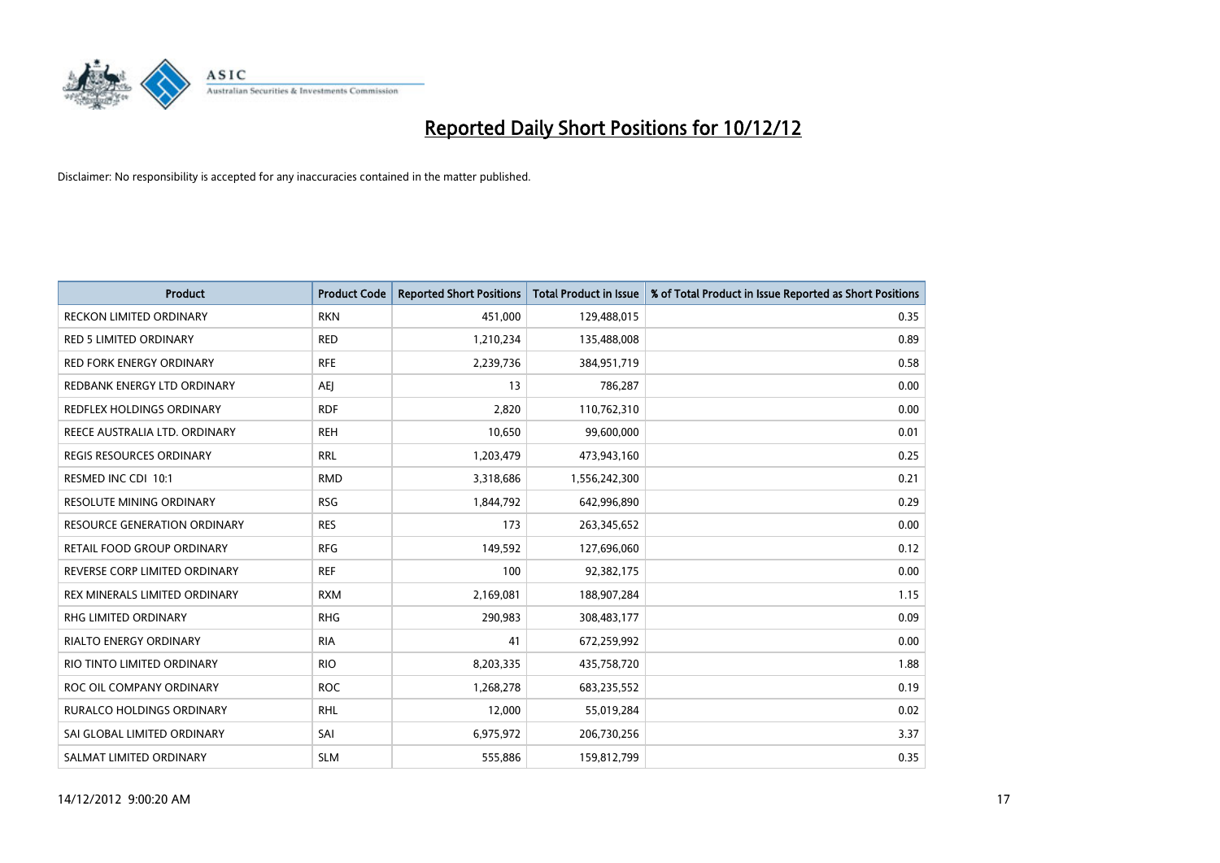

| <b>Product</b>                      | <b>Product Code</b> | <b>Reported Short Positions</b> | <b>Total Product in Issue</b> | % of Total Product in Issue Reported as Short Positions |
|-------------------------------------|---------------------|---------------------------------|-------------------------------|---------------------------------------------------------|
| <b>RECKON LIMITED ORDINARY</b>      | <b>RKN</b>          | 451,000                         | 129,488,015                   | 0.35                                                    |
| <b>RED 5 LIMITED ORDINARY</b>       | <b>RED</b>          | 1,210,234                       | 135,488,008                   | 0.89                                                    |
| <b>RED FORK ENERGY ORDINARY</b>     | <b>RFE</b>          | 2,239,736                       | 384,951,719                   | 0.58                                                    |
| REDBANK ENERGY LTD ORDINARY         | AEJ                 | 13                              | 786,287                       | 0.00                                                    |
| REDFLEX HOLDINGS ORDINARY           | <b>RDF</b>          | 2,820                           | 110,762,310                   | 0.00                                                    |
| REECE AUSTRALIA LTD. ORDINARY       | <b>REH</b>          | 10,650                          | 99,600,000                    | 0.01                                                    |
| <b>REGIS RESOURCES ORDINARY</b>     | <b>RRL</b>          | 1,203,479                       | 473,943,160                   | 0.25                                                    |
| RESMED INC CDI 10:1                 | <b>RMD</b>          | 3,318,686                       | 1,556,242,300                 | 0.21                                                    |
| <b>RESOLUTE MINING ORDINARY</b>     | <b>RSG</b>          | 1,844,792                       | 642,996,890                   | 0.29                                                    |
| <b>RESOURCE GENERATION ORDINARY</b> | <b>RES</b>          | 173                             | 263,345,652                   | 0.00                                                    |
| RETAIL FOOD GROUP ORDINARY          | <b>RFG</b>          | 149,592                         | 127,696,060                   | 0.12                                                    |
| REVERSE CORP LIMITED ORDINARY       | <b>REF</b>          | 100                             | 92,382,175                    | 0.00                                                    |
| REX MINERALS LIMITED ORDINARY       | <b>RXM</b>          | 2,169,081                       | 188,907,284                   | 1.15                                                    |
| <b>RHG LIMITED ORDINARY</b>         | <b>RHG</b>          | 290,983                         | 308,483,177                   | 0.09                                                    |
| <b>RIALTO ENERGY ORDINARY</b>       | <b>RIA</b>          | 41                              | 672,259,992                   | 0.00                                                    |
| RIO TINTO LIMITED ORDINARY          | <b>RIO</b>          | 8,203,335                       | 435,758,720                   | 1.88                                                    |
| ROC OIL COMPANY ORDINARY            | <b>ROC</b>          | 1,268,278                       | 683,235,552                   | 0.19                                                    |
| RURALCO HOLDINGS ORDINARY           | <b>RHL</b>          | 12,000                          | 55,019,284                    | 0.02                                                    |
| SAI GLOBAL LIMITED ORDINARY         | SAI                 | 6,975,972                       | 206,730,256                   | 3.37                                                    |
| SALMAT LIMITED ORDINARY             | <b>SLM</b>          | 555,886                         | 159,812,799                   | 0.35                                                    |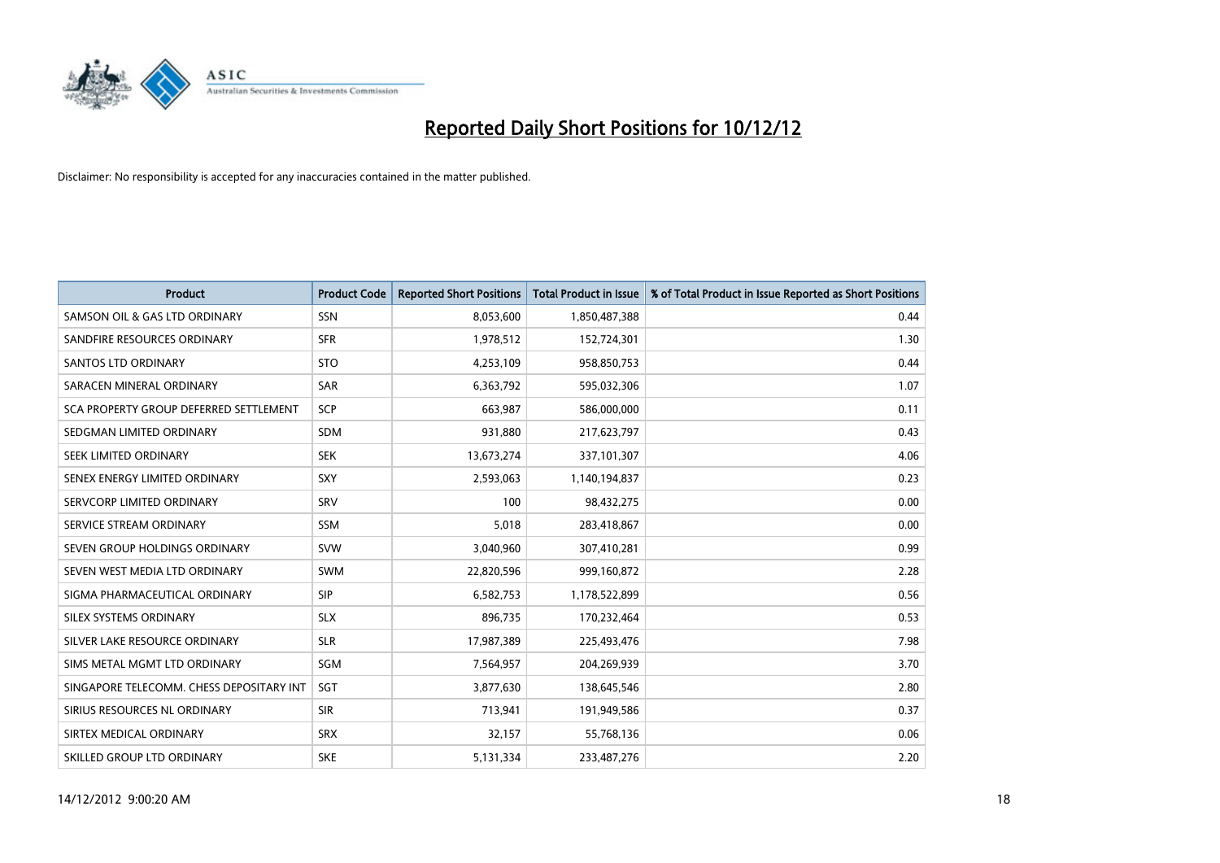

| <b>Product</b>                           | <b>Product Code</b> | <b>Reported Short Positions</b> | <b>Total Product in Issue</b> | % of Total Product in Issue Reported as Short Positions |
|------------------------------------------|---------------------|---------------------------------|-------------------------------|---------------------------------------------------------|
| SAMSON OIL & GAS LTD ORDINARY            | SSN                 | 8,053,600                       | 1,850,487,388                 | 0.44                                                    |
| SANDFIRE RESOURCES ORDINARY              | <b>SFR</b>          | 1,978,512                       | 152,724,301                   | 1.30                                                    |
| <b>SANTOS LTD ORDINARY</b>               | <b>STO</b>          | 4,253,109                       | 958,850,753                   | 0.44                                                    |
| SARACEN MINERAL ORDINARY                 | SAR                 | 6,363,792                       | 595,032,306                   | 1.07                                                    |
| SCA PROPERTY GROUP DEFERRED SETTLEMENT   | SCP                 | 663,987                         | 586,000,000                   | 0.11                                                    |
| SEDGMAN LIMITED ORDINARY                 | <b>SDM</b>          | 931,880                         | 217,623,797                   | 0.43                                                    |
| SEEK LIMITED ORDINARY                    | <b>SEK</b>          | 13,673,274                      | 337,101,307                   | 4.06                                                    |
| SENEX ENERGY LIMITED ORDINARY            | SXY                 | 2,593,063                       | 1,140,194,837                 | 0.23                                                    |
| SERVCORP LIMITED ORDINARY                | SRV                 | 100                             | 98,432,275                    | 0.00                                                    |
| SERVICE STREAM ORDINARY                  | <b>SSM</b>          | 5,018                           | 283,418,867                   | 0.00                                                    |
| SEVEN GROUP HOLDINGS ORDINARY            | <b>SVW</b>          | 3,040,960                       | 307,410,281                   | 0.99                                                    |
| SEVEN WEST MEDIA LTD ORDINARY            | <b>SWM</b>          | 22,820,596                      | 999,160,872                   | 2.28                                                    |
| SIGMA PHARMACEUTICAL ORDINARY            | <b>SIP</b>          | 6,582,753                       | 1,178,522,899                 | 0.56                                                    |
| SILEX SYSTEMS ORDINARY                   | <b>SLX</b>          | 896,735                         | 170,232,464                   | 0.53                                                    |
| SILVER LAKE RESOURCE ORDINARY            | <b>SLR</b>          | 17,987,389                      | 225,493,476                   | 7.98                                                    |
| SIMS METAL MGMT LTD ORDINARY             | SGM                 | 7,564,957                       | 204,269,939                   | 3.70                                                    |
| SINGAPORE TELECOMM. CHESS DEPOSITARY INT | <b>SGT</b>          | 3,877,630                       | 138,645,546                   | 2.80                                                    |
| SIRIUS RESOURCES NL ORDINARY             | <b>SIR</b>          | 713,941                         | 191,949,586                   | 0.37                                                    |
| SIRTEX MEDICAL ORDINARY                  | <b>SRX</b>          | 32,157                          | 55,768,136                    | 0.06                                                    |
| SKILLED GROUP LTD ORDINARY               | <b>SKE</b>          | 5,131,334                       | 233,487,276                   | 2.20                                                    |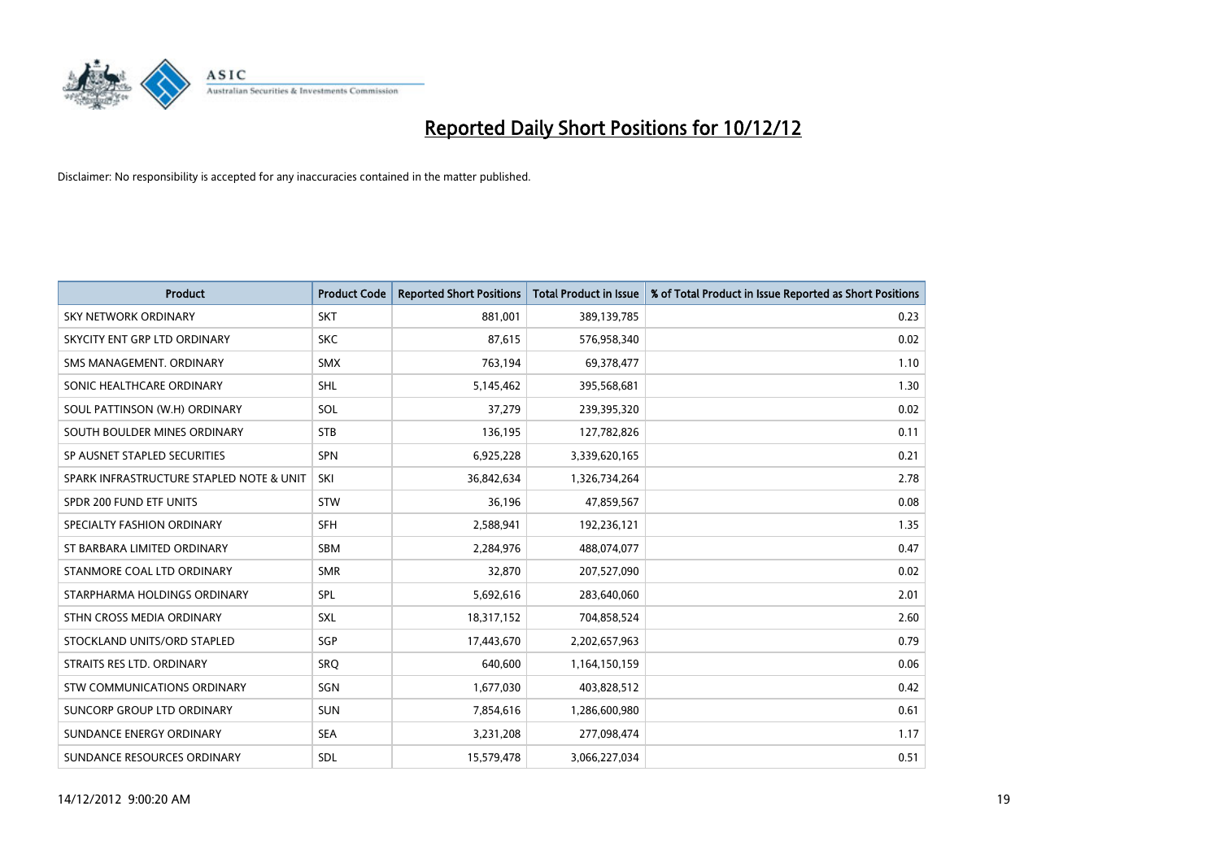

| <b>Product</b>                           | <b>Product Code</b> | <b>Reported Short Positions</b> | <b>Total Product in Issue</b> | % of Total Product in Issue Reported as Short Positions |
|------------------------------------------|---------------------|---------------------------------|-------------------------------|---------------------------------------------------------|
| <b>SKY NETWORK ORDINARY</b>              | <b>SKT</b>          | 881,001                         | 389,139,785                   | 0.23                                                    |
| SKYCITY ENT GRP LTD ORDINARY             | <b>SKC</b>          | 87,615                          | 576,958,340                   | 0.02                                                    |
| SMS MANAGEMENT, ORDINARY                 | <b>SMX</b>          | 763,194                         | 69,378,477                    | 1.10                                                    |
| SONIC HEALTHCARE ORDINARY                | SHL                 | 5,145,462                       | 395,568,681                   | 1.30                                                    |
| SOUL PATTINSON (W.H) ORDINARY            | SOL                 | 37,279                          | 239,395,320                   | 0.02                                                    |
| SOUTH BOULDER MINES ORDINARY             | <b>STB</b>          | 136,195                         | 127,782,826                   | 0.11                                                    |
| SP AUSNET STAPLED SECURITIES             | <b>SPN</b>          | 6,925,228                       | 3,339,620,165                 | 0.21                                                    |
| SPARK INFRASTRUCTURE STAPLED NOTE & UNIT | SKI                 | 36,842,634                      | 1,326,734,264                 | 2.78                                                    |
| SPDR 200 FUND ETF UNITS                  | <b>STW</b>          | 36,196                          | 47,859,567                    | 0.08                                                    |
| SPECIALTY FASHION ORDINARY               | <b>SFH</b>          | 2,588,941                       | 192,236,121                   | 1.35                                                    |
| ST BARBARA LIMITED ORDINARY              | <b>SBM</b>          | 2,284,976                       | 488,074,077                   | 0.47                                                    |
| STANMORE COAL LTD ORDINARY               | <b>SMR</b>          | 32,870                          | 207,527,090                   | 0.02                                                    |
| STARPHARMA HOLDINGS ORDINARY             | SPL                 | 5,692,616                       | 283,640,060                   | 2.01                                                    |
| STHN CROSS MEDIA ORDINARY                | <b>SXL</b>          | 18,317,152                      | 704,858,524                   | 2.60                                                    |
| STOCKLAND UNITS/ORD STAPLED              | <b>SGP</b>          | 17,443,670                      | 2,202,657,963                 | 0.79                                                    |
| STRAITS RES LTD. ORDINARY                | SRO                 | 640,600                         | 1,164,150,159                 | 0.06                                                    |
| STW COMMUNICATIONS ORDINARY              | SGN                 | 1,677,030                       | 403,828,512                   | 0.42                                                    |
| SUNCORP GROUP LTD ORDINARY               | <b>SUN</b>          | 7,854,616                       | 1,286,600,980                 | 0.61                                                    |
| SUNDANCE ENERGY ORDINARY                 | <b>SEA</b>          | 3,231,208                       | 277,098,474                   | 1.17                                                    |
| SUNDANCE RESOURCES ORDINARY              | <b>SDL</b>          | 15,579,478                      | 3,066,227,034                 | 0.51                                                    |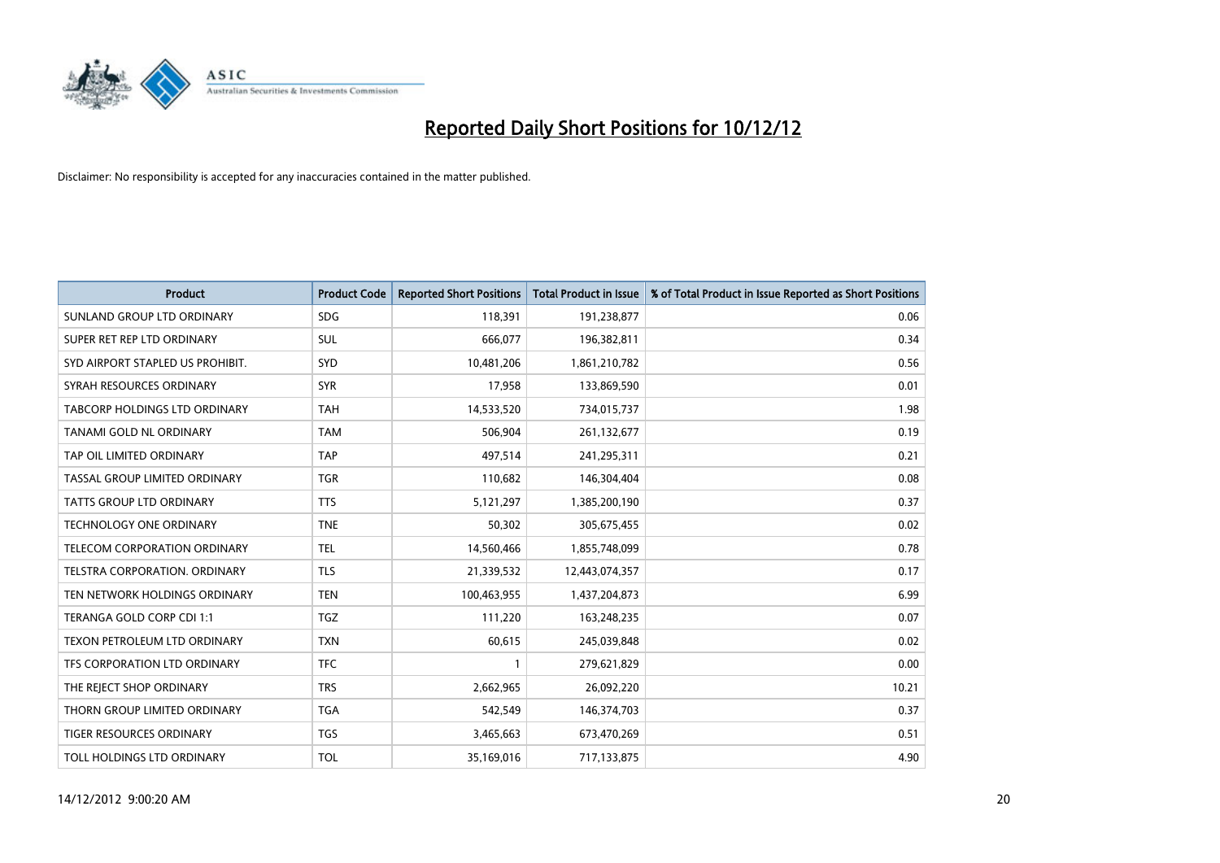

| <b>Product</b>                       | <b>Product Code</b> | <b>Reported Short Positions</b> | Total Product in Issue | % of Total Product in Issue Reported as Short Positions |
|--------------------------------------|---------------------|---------------------------------|------------------------|---------------------------------------------------------|
| SUNLAND GROUP LTD ORDINARY           | <b>SDG</b>          | 118,391                         | 191,238,877            | 0.06                                                    |
| SUPER RET REP LTD ORDINARY           | SUL                 | 666,077                         | 196,382,811            | 0.34                                                    |
| SYD AIRPORT STAPLED US PROHIBIT.     | SYD                 | 10,481,206                      | 1,861,210,782          | 0.56                                                    |
| SYRAH RESOURCES ORDINARY             | <b>SYR</b>          | 17,958                          | 133,869,590            | 0.01                                                    |
| <b>TABCORP HOLDINGS LTD ORDINARY</b> | <b>TAH</b>          | 14,533,520                      | 734,015,737            | 1.98                                                    |
| TANAMI GOLD NL ORDINARY              | <b>TAM</b>          | 506,904                         | 261,132,677            | 0.19                                                    |
| TAP OIL LIMITED ORDINARY             | <b>TAP</b>          | 497,514                         | 241,295,311            | 0.21                                                    |
| TASSAL GROUP LIMITED ORDINARY        | <b>TGR</b>          | 110,682                         | 146,304,404            | 0.08                                                    |
| TATTS GROUP LTD ORDINARY             | <b>TTS</b>          | 5,121,297                       | 1,385,200,190          | 0.37                                                    |
| <b>TECHNOLOGY ONE ORDINARY</b>       | <b>TNE</b>          | 50,302                          | 305,675,455            | 0.02                                                    |
| TELECOM CORPORATION ORDINARY         | <b>TEL</b>          | 14,560,466                      | 1,855,748,099          | 0.78                                                    |
| <b>TELSTRA CORPORATION, ORDINARY</b> | <b>TLS</b>          | 21,339,532                      | 12,443,074,357         | 0.17                                                    |
| TEN NETWORK HOLDINGS ORDINARY        | <b>TEN</b>          | 100,463,955                     | 1,437,204,873          | 6.99                                                    |
| TERANGA GOLD CORP CDI 1:1            | <b>TGZ</b>          | 111,220                         | 163,248,235            | 0.07                                                    |
| TEXON PETROLEUM LTD ORDINARY         | <b>TXN</b>          | 60,615                          | 245,039,848            | 0.02                                                    |
| TFS CORPORATION LTD ORDINARY         | <b>TFC</b>          |                                 | 279,621,829            | 0.00                                                    |
| THE REJECT SHOP ORDINARY             | <b>TRS</b>          | 2,662,965                       | 26,092,220             | 10.21                                                   |
| THORN GROUP LIMITED ORDINARY         | <b>TGA</b>          | 542,549                         | 146,374,703            | 0.37                                                    |
| <b>TIGER RESOURCES ORDINARY</b>      | <b>TGS</b>          | 3,465,663                       | 673,470,269            | 0.51                                                    |
| TOLL HOLDINGS LTD ORDINARY           | <b>TOL</b>          | 35,169,016                      | 717,133,875            | 4.90                                                    |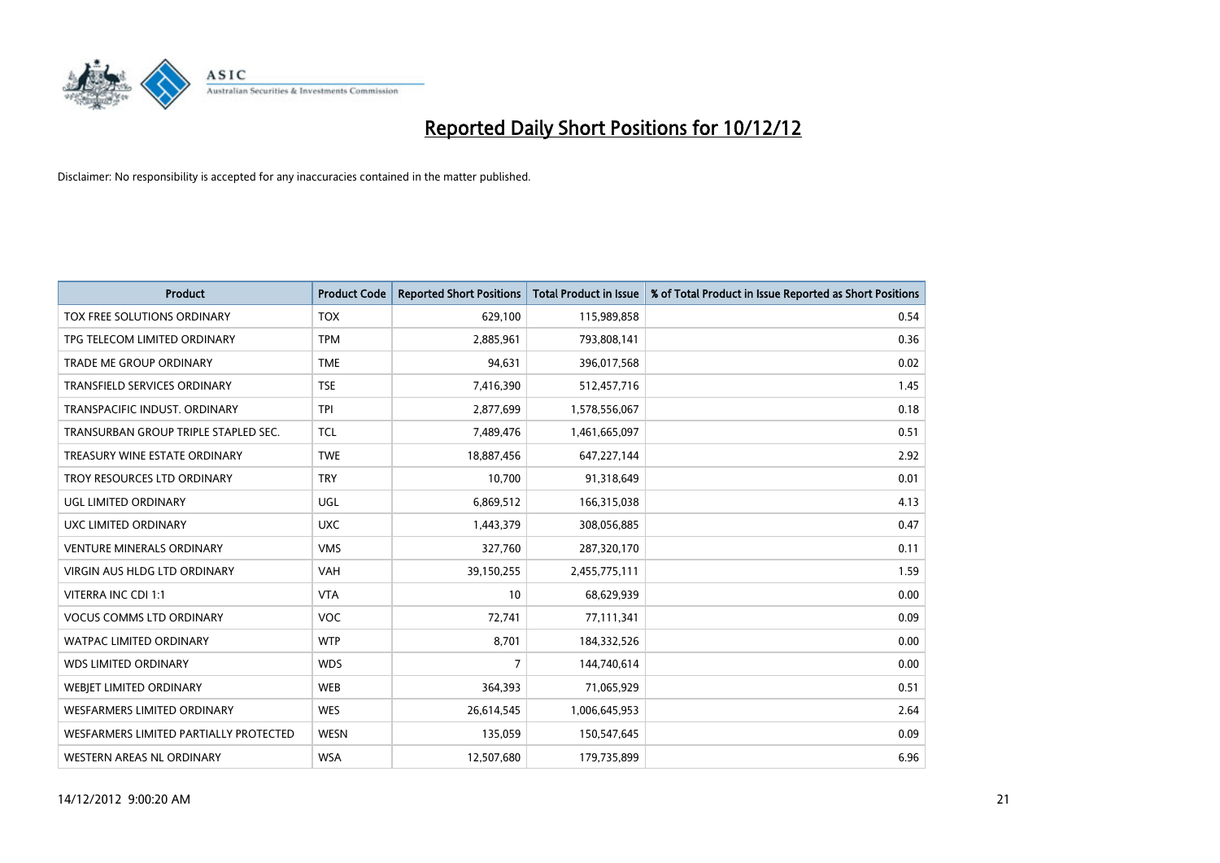

| <b>Product</b>                         | <b>Product Code</b> | <b>Reported Short Positions</b> | <b>Total Product in Issue</b> | % of Total Product in Issue Reported as Short Positions |
|----------------------------------------|---------------------|---------------------------------|-------------------------------|---------------------------------------------------------|
| TOX FREE SOLUTIONS ORDINARY            | <b>TOX</b>          | 629,100                         | 115,989,858                   | 0.54                                                    |
| TPG TELECOM LIMITED ORDINARY           | <b>TPM</b>          | 2,885,961                       | 793,808,141                   | 0.36                                                    |
| <b>TRADE ME GROUP ORDINARY</b>         | <b>TME</b>          | 94,631                          | 396,017,568                   | 0.02                                                    |
| TRANSFIELD SERVICES ORDINARY           | <b>TSE</b>          | 7,416,390                       | 512,457,716                   | 1.45                                                    |
| TRANSPACIFIC INDUST, ORDINARY          | <b>TPI</b>          | 2,877,699                       | 1,578,556,067                 | 0.18                                                    |
| TRANSURBAN GROUP TRIPLE STAPLED SEC.   | <b>TCL</b>          | 7,489,476                       | 1,461,665,097                 | 0.51                                                    |
| TREASURY WINE ESTATE ORDINARY          | <b>TWE</b>          | 18,887,456                      | 647, 227, 144                 | 2.92                                                    |
| TROY RESOURCES LTD ORDINARY            | <b>TRY</b>          | 10,700                          | 91,318,649                    | 0.01                                                    |
| <b>UGL LIMITED ORDINARY</b>            | UGL                 | 6,869,512                       | 166,315,038                   | 4.13                                                    |
| UXC LIMITED ORDINARY                   | <b>UXC</b>          | 1,443,379                       | 308,056,885                   | 0.47                                                    |
| <b>VENTURE MINERALS ORDINARY</b>       | <b>VMS</b>          | 327,760                         | 287,320,170                   | 0.11                                                    |
| <b>VIRGIN AUS HLDG LTD ORDINARY</b>    | <b>VAH</b>          | 39,150,255                      | 2,455,775,111                 | 1.59                                                    |
| VITERRA INC CDI 1:1                    | <b>VTA</b>          | 10                              | 68,629,939                    | 0.00                                                    |
| <b>VOCUS COMMS LTD ORDINARY</b>        | <b>VOC</b>          | 72,741                          | 77,111,341                    | 0.09                                                    |
| <b>WATPAC LIMITED ORDINARY</b>         | <b>WTP</b>          | 8,701                           | 184,332,526                   | 0.00                                                    |
| <b>WDS LIMITED ORDINARY</b>            | <b>WDS</b>          | 7                               | 144,740,614                   | 0.00                                                    |
| WEBIET LIMITED ORDINARY                | <b>WEB</b>          | 364,393                         | 71,065,929                    | 0.51                                                    |
| <b>WESFARMERS LIMITED ORDINARY</b>     | <b>WES</b>          | 26,614,545                      | 1,006,645,953                 | 2.64                                                    |
| WESFARMERS LIMITED PARTIALLY PROTECTED | <b>WESN</b>         | 135,059                         | 150,547,645                   | 0.09                                                    |
| WESTERN AREAS NL ORDINARY              | <b>WSA</b>          | 12,507,680                      | 179,735,899                   | 6.96                                                    |